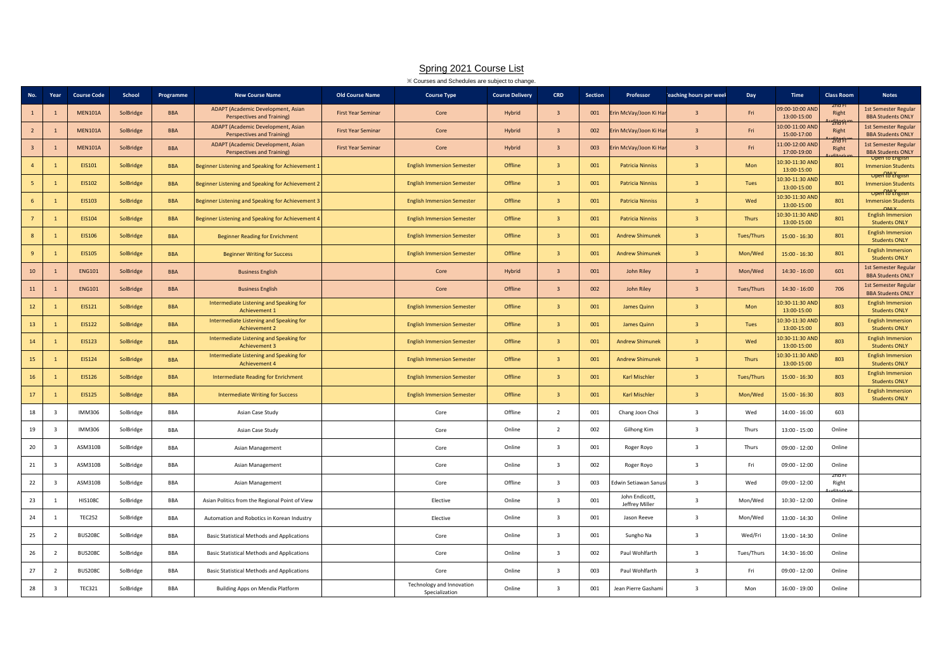|                         | XX Courses and Schedules are subject to change.<br><b>CRD</b><br>Year<br><b>Course Code</b><br>School<br><b>Class Room</b><br><b>New Course Name</b><br><b>Old Course Name</b><br><b>Course Type</b><br><b>Course Delivery</b><br>Section<br>Professor<br>eaching hours per weel<br>Day<br><b>Time</b><br><b>Notes</b><br>Programme |                |           |            |                                                                         |                           |                                             |               |                         |     |                                  |                         |                   |                                |                 |                                                         |
|-------------------------|-------------------------------------------------------------------------------------------------------------------------------------------------------------------------------------------------------------------------------------------------------------------------------------------------------------------------------------|----------------|-----------|------------|-------------------------------------------------------------------------|---------------------------|---------------------------------------------|---------------|-------------------------|-----|----------------------------------|-------------------------|-------------------|--------------------------------|-----------------|---------------------------------------------------------|
| No.                     |                                                                                                                                                                                                                                                                                                                                     |                |           |            |                                                                         |                           |                                             |               |                         |     |                                  |                         |                   |                                |                 |                                                         |
| $\mathbf{1}$            |                                                                                                                                                                                                                                                                                                                                     | <b>MEN101A</b> | SolBridge | <b>BBA</b> | ADAPT (Academic Development, Asian<br>Perspectives and Training)        | <b>First Year Seminar</b> | Core                                        | Hybrid        | $\overline{3}$          | 001 | rin McVay/Joon Ki Ha             | $\overline{3}$          | Fri               | 09:00-10:00 AND<br>13:00-15:00 | zna F<br>Right  | 1st Semester Regular<br><b>BBA Students ONLY</b>        |
| $\overline{2}$          |                                                                                                                                                                                                                                                                                                                                     | <b>MEN101A</b> | SolBridge | <b>BBA</b> | ADAPT (Academic Development, Asian<br><b>Perspectives and Training)</b> | <b>First Year Seminar</b> | Core                                        | Hybrid        | $\overline{3}$          | 002 | rin McVay/Joon Ki Ha             | $\overline{3}$          | Fri               | 10:00-11:00 AND<br>15:00-17:00 | tifari<br>Right | 1st Semester Regular<br><b>BBA Students ONLY</b>        |
| $\overline{\mathbf{3}}$ |                                                                                                                                                                                                                                                                                                                                     | <b>MEN101A</b> | SolBridge | <b>BBA</b> | ADAPT (Academic Development, Asian<br><b>Perspectives and Training)</b> | <b>First Year Seminar</b> | Core                                        | <b>Hybrid</b> | $\overline{3}$          | 003 | rin McVay/Joon Ki Ha             | $\overline{3}$          | Fri               | 1:00-12:00 AND<br>17:00-19:00  | Zha F<br>Right  | 1st Semester Regular<br><b>BBA Students ONLY</b>        |
| $\overline{4}$          |                                                                                                                                                                                                                                                                                                                                     | EIS101         | SolBridge | <b>BBA</b> | Beginner Listening and Speaking for Achievement 1                       |                           | <b>English Immersion Semester</b>           | Offline       | $\overline{3}$          | 001 | <b>Patricia Ninniss</b>          | $\overline{3}$          | Mon               | 0:30-11:30 AND<br>13:00-15:00  | 801             | <b>Immersion Students</b><br>Open to English            |
| 5                       |                                                                                                                                                                                                                                                                                                                                     | EIS102         | SolBridge | <b>BBA</b> | Beginner Listening and Speaking for Achievement 2                       |                           | <b>English Immersion Semester</b>           | Offline       | $\overline{3}$          | 001 | <b>Patricia Ninniss</b>          | $\overline{3}$          | Tues              | 0:30-11:30 AND<br>13:00-15:00  | 801             | <b>Immersion Students</b><br>Open to English            |
| 6                       |                                                                                                                                                                                                                                                                                                                                     | <b>EIS103</b>  | SolBridge | <b>BBA</b> | Beginner Listening and Speaking for Achievement 3                       |                           | <b>English Immersion Semester</b>           | Offline       | $\overline{3}$          | 001 | <b>Patricia Ninniss</b>          | $\overline{3}$          | Wed               | 10:30-11:30 AND<br>13:00-15:00 | 801             | <b>Immersion Students</b>                               |
| $\overline{7}$          | $\overline{1}$                                                                                                                                                                                                                                                                                                                      | EIS104         | SolBridge | <b>BBA</b> | Beginner Listening and Speaking for Achievement 4                       |                           | <b>English Immersion Semester</b>           | Offline       | $\overline{3}$          | 001 | <b>Patricia Ninniss</b>          | $\overline{3}$          | Thurs             | 10:30-11:30 AND<br>13:00-15:00 | 801             | <b>English Immersion</b><br><b>Students ONLY</b>        |
| 8                       |                                                                                                                                                                                                                                                                                                                                     | <b>EIS106</b>  | SolBridge | <b>BBA</b> | <b>Beginner Reading for Enrichment</b>                                  |                           | <b>English Immersion Semester</b>           | Offline       | $\overline{3}$          | 001 | <b>Andrew Shimunek</b>           | $\overline{3}$          | <b>Tues/Thurs</b> | 15:00 - 16:30                  | 801             | <b>English Immersion</b><br><b>Students ONLY</b>        |
| $\overline{9}$          |                                                                                                                                                                                                                                                                                                                                     | <b>EIS105</b>  | SolBridge | <b>BBA</b> | <b>Beginner Writing for Success</b>                                     |                           | <b>English Immersion Semester</b>           | Offline       | $\overline{3}$          | 001 | <b>Andrew Shimunek</b>           | $\overline{3}$          | Mon/Wed           | 15:00 - 16:30                  | 801             | <b>English Immersion</b><br><b>Students ONLY</b>        |
| 10                      |                                                                                                                                                                                                                                                                                                                                     | <b>ENG101</b>  | SolBridge | <b>BBA</b> | <b>Business English</b>                                                 |                           | Core                                        | Hybrid        | $\overline{\mathbf{3}}$ | 001 | <b>John Riley</b>                | $\overline{3}$          | Mon/Wed           | $14:30 - 16:00$                | 601             | <b>1st Semester Regular</b><br><b>BBA Students ONLY</b> |
| 11                      |                                                                                                                                                                                                                                                                                                                                     | <b>ENG101</b>  | SolBridge | <b>BBA</b> | <b>Business English</b>                                                 |                           | Core                                        | Offline       | $\overline{3}$          | 002 | <b>John Riley</b>                | $\overline{3}$          | <b>Tues/Thurs</b> | $14:30 - 16:00$                | 706             | 1st Semester Regular<br><b>BBA Students ONLY</b>        |
| 12                      |                                                                                                                                                                                                                                                                                                                                     | EIS121         | SolBridge | <b>BBA</b> | Intermediate Listening and Speaking for<br>Achievement 1                |                           | <b>English Immersion Semester</b>           | Offline       | $\overline{3}$          | 001 | James Quinn                      | $\overline{3}$          | Mon               | 10:30-11:30 AND<br>13:00-15:00 | 803             | <b>English Immersion</b><br><b>Students ONLY</b>        |
| 13                      |                                                                                                                                                                                                                                                                                                                                     | <b>EIS122</b>  | SolBridge | <b>BBA</b> | Intermediate Listening and Speaking for<br><b>Achievement 2</b>         |                           | <b>English Immersion Semester</b>           | Offline       | $\overline{\mathbf{3}}$ | 001 | James Quinn                      | $\overline{\mathbf{3}}$ | Tues              | 10:30-11:30 AND<br>13:00-15:00 | 803             | <b>English Immersion</b><br><b>Students ONLY</b>        |
| 14                      |                                                                                                                                                                                                                                                                                                                                     | <b>EIS123</b>  | SolBridge | <b>BBA</b> | Intermediate Listening and Speaking for<br>Achievement 3                |                           | <b>English Immersion Semester</b>           | Offline       | $\overline{3}$          | 001 | <b>Andrew Shimunek</b>           | $\overline{3}$          | Wed               | 0:30-11:30 AND<br>13:00-15:00  | 803             | <b>English Immersion</b><br><b>Students ONLY</b>        |
| 15                      |                                                                                                                                                                                                                                                                                                                                     | EIS124         | SolBridge | <b>BBA</b> | Intermediate Listening and Speaking for<br>Achievement 4                |                           | <b>English Immersion Semester</b>           | Offline       | $\overline{3}$          | 001 | <b>Andrew Shimunek</b>           | $\overline{3}$          | Thurs             | 10:30-11:30 AND<br>13:00-15:00 | 803             | <b>English Immersion</b><br><b>Students ONLY</b>        |
| 16                      |                                                                                                                                                                                                                                                                                                                                     | <b>EIS126</b>  | SolBridge | <b>BBA</b> | <b>Intermediate Reading for Enrichment</b>                              |                           | <b>English Immersion Semester</b>           | Offline       | $\overline{3}$          | 001 | <b>Karl Mischler</b>             | $\overline{3}$          | <b>Tues/Thurs</b> | $15:00 - 16:30$                | 803             | <b>English Immersion</b><br><b>Students ONLY</b>        |
| 17                      | $\mathbf{1}$                                                                                                                                                                                                                                                                                                                        | <b>EIS125</b>  | SolBridge | <b>BBA</b> | <b>Intermediate Writing for Success</b>                                 |                           | <b>English Immersion Semester</b>           | Offline       | $\overline{3}$          | 001 | Karl Mischler                    | $\overline{3}$          | Mon/Wed           | $15:00 - 16:30$                | 803             | <b>English Immersion</b><br><b>Students ONLY</b>        |
| 18                      | $\overline{\mathbf{3}}$                                                                                                                                                                                                                                                                                                             | IMM306         | SolBridge | BBA        | Asian Case Study                                                        |                           | Core                                        | Offline       | $\overline{2}$          | 001 | Chang Joon Choi                  | $\overline{3}$          | Wed               | 14:00 - 16:00                  | 603             |                                                         |
| 19                      | $\overline{3}$                                                                                                                                                                                                                                                                                                                      | IMM306         | SolBridge | BBA        | Asian Case Study                                                        |                           | Core                                        | Online        | $\overline{2}$          | 002 | Gilhong Kim                      | $\overline{\mathbf{3}}$ | Thurs             | 13:00 - 15:00                  | Online          |                                                         |
| 20                      | - 3                                                                                                                                                                                                                                                                                                                                 | ASM310B        | SolBridge | <b>BBA</b> | Asian Management                                                        |                           | Core                                        | Online        | $\overline{\mathbf{3}}$ | 001 | Roger Royo                       | $\overline{\mathbf{3}}$ | Thurs             | $09:00 - 12:00$                | Online          |                                                         |
| 21                      | $\mathbf{B}$                                                                                                                                                                                                                                                                                                                        | ASM310B        | SolBridge | <b>BBA</b> | Asian Management                                                        |                           | Core                                        | Online        | $\overline{\mathbf{3}}$ | 002 | Roger Royo                       | $\overline{\mathbf{3}}$ | Fri               | 09:00 - 12:00                  | Online          |                                                         |
| 22                      | 3                                                                                                                                                                                                                                                                                                                                   | ASM310B        | SolBridge | BBA        | Asian Management                                                        |                           | Core                                        | Offline       | $\overline{\mathbf{3}}$ | 003 | Edwin Setiawan Sanus             | $\overline{\mathbf{3}}$ | Wed               | 09:00 - 12:00                  | zna<br>Right    |                                                         |
| 23                      |                                                                                                                                                                                                                                                                                                                                     | <b>HIS108C</b> | SolBridge | BBA        | Asian Politics from the Regional Point of View                          |                           | Elective                                    | Online        | $\overline{\mathbf{3}}$ | 001 | John Endicott,<br>Jeffrey Miller | $\overline{\mathbf{3}}$ | Mon/Wed           | $10:30 - 12:00$                | Online          |                                                         |
| 24                      | $\overline{1}$                                                                                                                                                                                                                                                                                                                      | <b>TEC252</b>  | SolBridge | BBA        | Automation and Robotics in Korean Industry                              |                           | Elective                                    | Online        | $\overline{\mathbf{3}}$ | 001 | Jason Reeve                      | $\overline{\mathbf{3}}$ | Mon/Wed           | 13:00 - 14:30                  | Online          |                                                         |
| 25                      | - 2                                                                                                                                                                                                                                                                                                                                 | <b>BUS208C</b> | SolBridge | BBA        | <b>Basic Statistical Methods and Applications</b>                       |                           | Core                                        | Online        | $\overline{\mathbf{3}}$ | 001 | Sungho Na                        | $\overline{\mathbf{3}}$ | Wed/Fri           | 13:00 - 14:30                  | Online          |                                                         |
| 26                      | $\overline{2}$                                                                                                                                                                                                                                                                                                                      | <b>BUS208C</b> | SolBridge | BBA        | Basic Statistical Methods and Applications                              |                           | Core                                        | Online        | $\overline{\mathbf{3}}$ | 002 | Paul Wohlfarth                   | $\overline{\mathbf{3}}$ | Tues/Thurs        | $14:30 - 16:00$                | Online          |                                                         |
| 27                      | $\overline{2}$                                                                                                                                                                                                                                                                                                                      | <b>BUS208C</b> | SolBridge | BBA        | <b>Basic Statistical Methods and Applications</b>                       |                           | Core                                        | Online        | $\overline{\mathbf{3}}$ | 003 | Paul Wohlfarth                   | $\overline{3}$          | Fri               | 09:00 - 12:00                  | Online          |                                                         |
| 28                      | $\overline{\mathbf{3}}$                                                                                                                                                                                                                                                                                                             | <b>TEC321</b>  | SolBridge | BBA        | Building Apps on Mendix Platform                                        |                           | Technology and Innovation<br>Specialization | Online        | $\overline{3}$          | 001 | Jean Pierre Gashami              | $\overline{3}$          | Mon               | 16:00 - 19:00                  | Online          |                                                         |

Spring 2021 Course List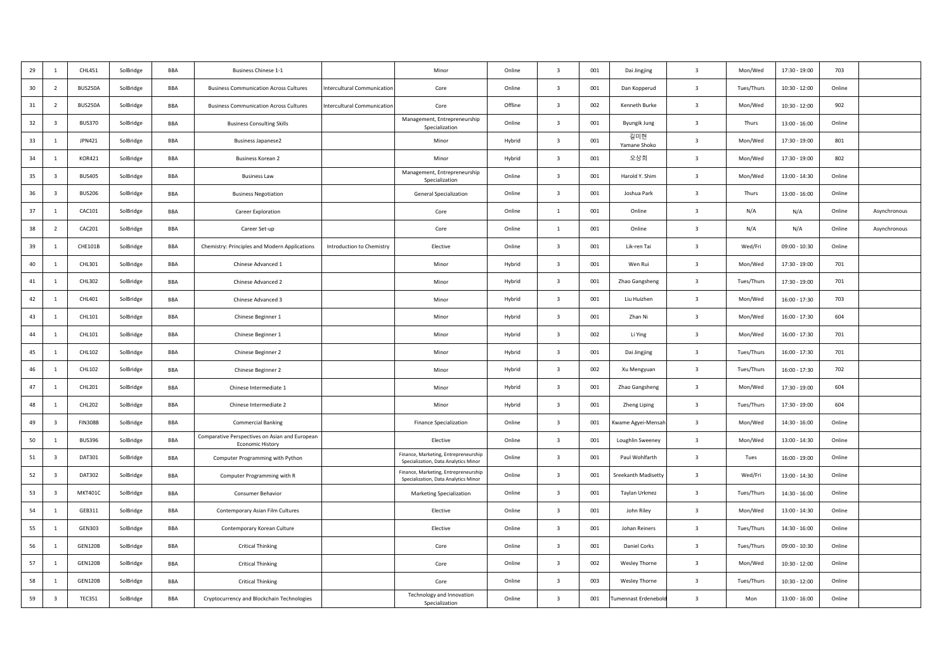| 29 | $\mathbf{1}$            | CHL451         | SolBridge | <b>BBA</b> | <b>Business Chinese 1-1</b>                                               |                                    | Minor                                                                        | Online  | $\overline{\mathbf{3}}$ | 001 | Dai Jingjing              | $\overline{\mathbf{3}}$ | Mon/Wed    | 17:30 - 19:00   | 703    |              |
|----|-------------------------|----------------|-----------|------------|---------------------------------------------------------------------------|------------------------------------|------------------------------------------------------------------------------|---------|-------------------------|-----|---------------------------|-------------------------|------------|-----------------|--------|--------------|
| 30 | $\overline{2}$          | <b>BUS250A</b> | SolBridge | BBA        | <b>Business Communication Across Cultures</b>                             | <b>Intercultural Communication</b> | Core                                                                         | Online  | $\overline{\mathbf{3}}$ | 001 | Dan Kopperud              | $\overline{\mathbf{3}}$ | Tues/Thurs | $10:30 - 12:00$ | Online |              |
| 31 | $\overline{2}$          | <b>BUS250A</b> | SolBridge | BBA        | <b>Business Communication Across Cultures</b>                             | <b>Intercultural Communication</b> | Core                                                                         | Offline | $\overline{\mathbf{3}}$ | 002 | Kenneth Burke             | $\overline{\mathbf{3}}$ | Mon/Wed    | $10:30 - 12:00$ | 902    |              |
| 32 | 3                       | <b>BUS370</b>  | SolBridge | BBA        | <b>Business Consulting Skills</b>                                         |                                    | Management, Entrepreneurship<br>Specialization                               | Online  | $\overline{\mathbf{3}}$ | 001 | <b>Byungik Jung</b>       | $\overline{\mathbf{3}}$ | Thurs      | $13:00 - 16:00$ | Online |              |
| 33 | 1                       | JPN421         | SolBridge | BBA        | <b>Business Japanese2</b>                                                 |                                    | Minor                                                                        | Hybrid  | $\overline{\mathbf{3}}$ | 001 | 길미현<br>Yamane Shoko       | $\overline{\mathbf{3}}$ | Mon/Wed    | 17:30 - 19:00   | 801    |              |
| 34 | $\mathbf{1}$            | <b>KOR421</b>  | SolBridge | <b>BBA</b> | <b>Business Korean 2</b>                                                  |                                    | Minor                                                                        | Hybrid  | $\overline{\mathbf{3}}$ | 001 | 오상희                       | $\overline{\mathbf{3}}$ | Mon/Wed    | $17:30 - 19:00$ | 802    |              |
| 35 | $\overline{\mathbf{3}}$ | <b>BUS405</b>  | SolBridge | BBA        | <b>Business Law</b>                                                       |                                    | Management, Entrepreneurship<br>Specialization                               | Online  | $\overline{\mathbf{3}}$ | 001 | Harold Y. Shim            | $\overline{\mathbf{3}}$ | Mon/Wed    | $13:00 - 14:30$ | Online |              |
| 36 | $\overline{\mathbf{3}}$ | <b>BUS206</b>  | SolBridge | BBA        | <b>Business Negotiation</b>                                               |                                    | General Specialization                                                       | Online  | $\overline{\mathbf{3}}$ | 001 | Joshua Park               | $\overline{\mathbf{3}}$ | Thurs      | $13:00 - 16:00$ | Online |              |
| 37 | 1                       | CAC101         | SolBridge | BBA        | Career Exploration                                                        |                                    | Core                                                                         | Online  | $\mathbf{1}$            | 001 | Online                    | $\overline{\mathbf{3}}$ | N/A        | N/A             | Online | Asynchronous |
| 38 | $\overline{2}$          | CAC201         | SolBridge | BBA        | Career Set-up                                                             |                                    | Core                                                                         | Online  | $\overline{1}$          | 001 | Online                    | $\overline{\mathbf{3}}$ | N/A        | N/A             | Online | Asynchronous |
| 39 | $\mathbf{1}$            | <b>CHE101B</b> | SolBridge | <b>BBA</b> | Chemistry: Principles and Modern Applications                             | Introduction to Chemistry          | Elective                                                                     | Online  | $\overline{\mathbf{3}}$ | 001 | Lik-ren Tai               | $\overline{\mathbf{3}}$ | Wed/Fri    | $09:00 - 10:30$ | Online |              |
| 40 | 1                       | CHL301         | SolBridge | BBA        | Chinese Advanced 1                                                        |                                    | Minor                                                                        | Hybrid  | $\overline{\mathbf{3}}$ | 001 | Wen Rui                   | $\overline{\mathbf{3}}$ | Mon/Wed    | 17:30 - 19:00   | 701    |              |
| 41 | 1                       | CHL302         | SolBridge | BBA        | Chinese Advanced 2                                                        |                                    | Minor                                                                        | Hybrid  | $\overline{\mathbf{3}}$ | 001 | Zhao Gangsheng            | $\overline{\mathbf{3}}$ | Tues/Thurs | 17:30 - 19:00   | 701    |              |
| 42 | $\mathbf{1}$            | CHL401         | SolBridge | BBA        | Chinese Advanced 3                                                        |                                    | Minor                                                                        | Hybrid  | $\overline{\mathbf{3}}$ | 001 | Liu Huizhen               | $\overline{\mathbf{3}}$ | Mon/Wed    | $16:00 - 17:30$ | 703    |              |
| 43 | 1                       | CHL101         | SolBridge | BBA        | Chinese Beginner 1                                                        |                                    | Minor                                                                        | Hybrid  | $\overline{\mathbf{3}}$ | 001 | 7han Ni                   | $\overline{\mathbf{3}}$ | Mon/Wed    | $16:00 - 17:30$ | 604    |              |
| 44 | 1                       | CHL101         | SolBridge | BBA        | Chinese Beginner 1                                                        |                                    | Minor                                                                        | Hybrid  | $\overline{\mathbf{3}}$ | 002 | Li Ying                   | $\overline{\mathbf{3}}$ | Mon/Wed    | $16:00 - 17:30$ | 701    |              |
| 45 | 1                       | CHL102         | SolBridge | BBA        | Chinese Beginner 2                                                        |                                    | Minor                                                                        | Hybrid  | $\overline{\mathbf{3}}$ | 001 | Dai Jingjing              | $\overline{\mathbf{3}}$ | Tues/Thurs | 16:00 - 17:30   | 701    |              |
| 46 | 1                       | CHL102         | SolBridge | BBA        | Chinese Beginner 2                                                        |                                    | Minor                                                                        | Hybrid  | $\overline{\mathbf{3}}$ | 002 | Xu Mengyuan               | $\overline{\mathbf{3}}$ | Tues/Thurs | $16:00 - 17:30$ | 702    |              |
| 47 | $\mathbf{1}$            | CHL201         | SolBridge | BBA        | Chinese Intermediate 1                                                    |                                    | Minor                                                                        | Hybrid  | $\overline{\mathbf{3}}$ | 001 | Zhao Gangsheng            | $\overline{\mathbf{3}}$ | Mon/Wed    | 17:30 - 19:00   | 604    |              |
| 48 | 1                       | <b>CHL202</b>  | SolBridge | BBA        | Chinese Intermediate 2                                                    |                                    | Minor                                                                        | Hybrid  | $\overline{3}$          | 001 | Zheng Liping              | $\overline{\mathbf{3}}$ | Tues/Thurs | 17:30 - 19:00   | 604    |              |
| 49 | $\overline{\mathbf{3}}$ | <b>FIN308B</b> | SolBridge | BBA        | <b>Commercial Banking</b>                                                 |                                    | <b>Finance Specialization</b>                                                | Online  | $\overline{\mathbf{3}}$ | 001 | <b>Kwame Agyei-Mensah</b> | $\overline{\mathbf{3}}$ | Mon/Wed    | $14:30 - 16:00$ | Online |              |
| 50 | 1                       | <b>BUS396</b>  | SolBridge | BBA        | Comparative Perspectives on Asian and European<br><b>Economic History</b> |                                    | Elective                                                                     | Online  | $\overline{\mathbf{3}}$ | 001 | Loughlin Sweeney          | $\overline{\mathbf{3}}$ | Mon/Wed    | 13:00 - 14:30   | Online |              |
| 51 | $\overline{\mathbf{3}}$ | DAT301         | SolBridge | BBA        | Computer Programming with Python                                          |                                    | Finance, Marketing, Entrepreneurship<br>Specialization, Data Analytics Minor | Online  | $\overline{\mathbf{3}}$ | 001 | Paul Wohlfarth            | $\overline{\mathbf{3}}$ | Tues       | $16:00 - 19:00$ | Online |              |
| 52 | $\overline{\mathbf{3}}$ | DAT302         | SolBridge | BBA        | Computer Programming with R                                               |                                    | Finance, Marketing, Entrepreneurship<br>Specialization, Data Analytics Minor | Online  | $\overline{\mathbf{3}}$ | 001 | Sreekanth Madisetty       | $\overline{\mathbf{3}}$ | Wed/Fri    | 13:00 - 14:30   | Online |              |
| 53 | $\overline{\mathbf{3}}$ | <b>MKT401C</b> | SolBridge | BBA        | Consumer Behavior                                                         |                                    | <b>Marketing Specialization</b>                                              | Online  | $\overline{\mathbf{3}}$ | 001 | Taylan Urkmez             | $\overline{\mathbf{3}}$ | Tues/Thurs | 14:30 - 16:00   | Online |              |
| 54 | 1                       | GEB311         | SolBridge | BBA        | Contemporary Asian Film Cultures                                          |                                    | Elective                                                                     | Online  | $\overline{\mathbf{3}}$ | 001 | John Riley                | $\overline{\mathbf{3}}$ | Mon/Wed    | $13:00 - 14:30$ | Online |              |
| 55 | 1                       | <b>GEN303</b>  | SolBridge | BBA        | Contemporary Korean Culture                                               |                                    | Elective                                                                     | Online  | $\overline{\mathbf{3}}$ | 001 | Johan Reiners             | $\overline{\mathbf{3}}$ | Tues/Thurs | 14:30 - 16:00   | Online |              |
| 56 | 1                       | <b>GEN120B</b> | SolBridge | BBA        | <b>Critical Thinking</b>                                                  |                                    | Core                                                                         | Online  | $\overline{\mathbf{3}}$ | 001 | Daniel Corks              | $\overline{\mathbf{3}}$ | Tues/Thurs | $09:00 - 10:30$ | Online |              |
| 57 | 1                       | <b>GEN120B</b> | SolBridge | BBA        | <b>Critical Thinking</b>                                                  |                                    | Core                                                                         | Online  | $\overline{\mathbf{3}}$ | 002 | Wesley Thorne             | $\overline{\mathbf{3}}$ | Mon/Wed    | $10:30 - 12:00$ | Online |              |
| 58 | $\mathbf{1}$            | <b>GEN120B</b> | SolBridge | BBA        | <b>Critical Thinking</b>                                                  |                                    | Core                                                                         | Online  | $\overline{\mathbf{3}}$ | 003 | Wesley Thorne             | $\overline{\mathbf{3}}$ | Tues/Thurs | $10:30 - 12:00$ | Online |              |
| 59 | $\overline{\mathbf{3}}$ | <b>TEC351</b>  | SolBridge | BBA        | Cryptocurrency and Blockchain Technologies                                |                                    | Technology and Innovation<br>Specialization                                  | Online  | $\overline{\mathbf{3}}$ | 001 | umennast Erdenebold       | $\overline{\mathbf{3}}$ | Mon        | $13:00 - 16:00$ | Online |              |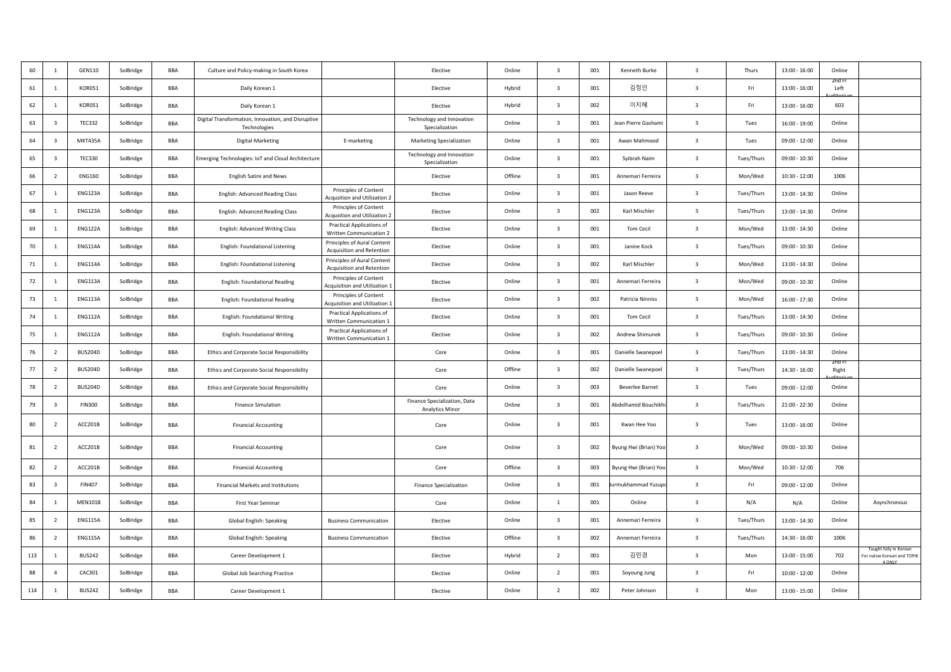| 60  | $\overline{1}$          | GEN110         | SolBridge | BBA        | Culture and Policy-making in South Korea                           |                                                               | Elective                                               | Online  | $\overline{3}$          | 001 | Kenneth Burke         | $\mathbf{B}$            | Thurs      | $13:00 - 16:00$ | Online         |                                                                 |
|-----|-------------------------|----------------|-----------|------------|--------------------------------------------------------------------|---------------------------------------------------------------|--------------------------------------------------------|---------|-------------------------|-----|-----------------------|-------------------------|------------|-----------------|----------------|-----------------------------------------------------------------|
| 61  | $\overline{1}$          | KOR051         | SolBridge | BBA        | Daily Korean 1                                                     |                                                               | Elective                                               | Hybrid  | $\overline{3}$          | 001 | 김정인                   | $\overline{\mathbf{3}}$ | Fri        | $13:00 - 16:00$ | Left           |                                                                 |
| 62  | 1                       | KOR051         | SolBridge | BBA        | Daily Korean 1                                                     |                                                               | Elective                                               | Hybrid  | $\overline{\mathbf{3}}$ | 002 | 이지혜                   | $\overline{\mathbf{3}}$ | Fri        | 13:00 - 16:00   | 603            |                                                                 |
| 63  | $\overline{\mathbf{3}}$ | <b>TEC332</b>  | SolBridge | BBA        | Digital Transformation, Innovation, and Disruptive<br>Technologies |                                                               | Technology and Innovation<br>Specialization            | Online  | $\overline{\mathbf{3}}$ | 001 | Jean Pierre Gashami   | $\overline{\mathbf{3}}$ | Tues       | 16:00 - 19:00   | Online         |                                                                 |
| 64  | $\overline{3}$          | <b>MKT435A</b> | SolBridge | BBA        | Digital-Marketing                                                  | E-marketing                                                   | <b>Marketing Specialization</b>                        | Online  | $\overline{\mathbf{3}}$ | 001 | Awan Mahmood          | $\overline{\mathbf{3}}$ | Tues       | $09:00 - 12:00$ | Online         |                                                                 |
| 65  | $\overline{\mathbf{3}}$ | <b>TEC330</b>  | SolBridge | BBA        | Emerging Technologies: IoT and Cloud Architecture                  |                                                               | Technology and Innovation<br>Specialization            | Online  | $\overline{\mathbf{3}}$ | 001 | Syibrah Naim          | $\overline{\mathbf{3}}$ | Tues/Thurs | $09:00 - 10:30$ | Online         |                                                                 |
| 66  | $\overline{2}$          | <b>ENG160</b>  | SolBridge | BBA        | <b>English Satire and News</b>                                     |                                                               | Elective                                               | Offline | $\overline{\mathbf{3}}$ | 001 | Annemari Ferreira     | $\overline{\mathbf{3}}$ | Mon/Wed    | $10:30 - 12:00$ | 1006           |                                                                 |
| 67  |                         | ENG123A        | SolBridge | BBA        | English: Advanced Reading Class                                    | Principles of Content<br><b>Acqusition and Utilization 2</b>  | Elective                                               | Online  | $\overline{\mathbf{3}}$ | 001 | Jason Reeve           | $\overline{\mathbf{3}}$ | Tues/Thurs | 13:00 - 14:30   | Online         |                                                                 |
| 68  | 1                       | <b>ENG123A</b> | SolBridge | BBA        | English: Advanced Reading Class                                    | Principles of Content<br>Acqusition and Utilization 2         | Elective                                               | Online  | $\overline{\mathbf{3}}$ | 002 | Karl Mischler         | $\overline{\mathbf{3}}$ | Tues/Thurs | 13:00 - 14:30   | Online         |                                                                 |
| 69  |                         | <b>ENG122A</b> | SolBridge | BBA        | English: Advanced Writing Class                                    | Practical Applications of<br>Written Communication 2          | Elective                                               | Online  | $\overline{\mathbf{3}}$ | 001 | Tom Cecil             | $\overline{\mathbf{3}}$ | Mon/Wed    | 13:00 - 14:30   | Online         |                                                                 |
| 70  | 1                       | <b>ENG114A</b> | SolBridge | <b>BBA</b> | English: Foundational Listening                                    | Principles of Aural Content<br>Acquisition and Retention      | Elective                                               | Online  | $\overline{\mathbf{3}}$ | 001 | Janine Kock           | $\overline{\mathbf{3}}$ | Tues/Thurs | 09:00 - 10:30   | Online         |                                                                 |
| 71  |                         | <b>ENG114A</b> | SolBridge | BBA        | English: Foundational Listening                                    | Principles of Aural Content<br>Acquisition and Retention      | Elective                                               | Online  | $\overline{\mathbf{3}}$ | 002 | Karl Mischler         | $\overline{\mathbf{3}}$ | Mon/Wed    | 13:00 - 14:30   | Online         |                                                                 |
| 72  | $\overline{1}$          | <b>ENG113A</b> | SolBridge | BBA        | <b>English: Foundational Reading</b>                               | Principles of Content<br><b>Acquisition and Utilization 1</b> | Elective                                               | Online  | $\overline{\mathbf{3}}$ | 001 | Annemari Ferreira     | $\overline{\mathbf{3}}$ | Mon/Wed    | $09:00 - 10:30$ | Online         |                                                                 |
| 73  | 1                       | <b>ENG113A</b> | SolBridge | BBA        | <b>English: Foundational Reading</b>                               | Principles of Content<br><b>Acquisition and Utilization 1</b> | Elective                                               | Online  | $\overline{\mathbf{3}}$ | 002 | Patricia Ninniss      | $\overline{\mathbf{3}}$ | Mon/Wed    | $16:00 - 17:30$ | Online         |                                                                 |
| 74  |                         | <b>ENG112A</b> | SolBridge | BBA        | English: Foundational Writing                                      | Practical Applications of<br>Written Communication 1          | Elective                                               | Online  | $\overline{\mathbf{3}}$ | 001 | Tom Cecil             | $\overline{\mathbf{3}}$ | Tues/Thurs | 13:00 - 14:30   | Online         |                                                                 |
| 75  | 1                       | <b>ENG112A</b> | SolBridge | BBA        | <b>English: Foundational Writing</b>                               | Practical Applications of<br>Written Communication 1          | Elective                                               | Online  | $\overline{3}$          | 002 | Andrew Shimunek       | $\overline{\mathbf{3}}$ | Tues/Thurs | 09:00 - 10:30   | Online         |                                                                 |
| 76  | $\overline{2}$          | BUS204D        | SolBridge | BBA        | Ethics and Corporate Social Responsibility                         |                                                               | Core                                                   | Online  | $\overline{\mathbf{3}}$ | 001 | Danielle Swanepoel    | $\overline{\mathbf{3}}$ | Tues/Thurs | 13:00 - 14:30   | Online         |                                                                 |
| 77  | $\overline{2}$          | <b>BUS204D</b> | SolBridge | BBA        | Ethics and Corporate Social Responsibility                         |                                                               | Core                                                   | Offline | $\overline{3}$          | 002 | Danielle Swanepoel    | $\overline{\mathbf{3}}$ | Tues/Thurs | 14:30 - 16:00   | zna r<br>Right |                                                                 |
| 78  | $\overline{2}$          | BUS204D        | SolBridge | BBA        | Ethics and Corporate Social Responsibility                         |                                                               | Core                                                   | Online  | $\overline{\mathbf{3}}$ | 003 | Beverlee Barnet       | $\overline{\mathbf{3}}$ | Tues       | 09:00 - 12:00   | Online         |                                                                 |
| 79  | $\overline{\mathbf{3}}$ | <b>FIN300</b>  | SolBridge | BBA        | <b>Finance Simulation</b>                                          |                                                               | Finance Specialization, Data<br><b>Analytics Minor</b> | Online  | $\overline{\mathbf{3}}$ | 001 | Abdelhamid Bouchikh   | $\overline{\mathbf{3}}$ | Tues/Thurs | 21:00 - 22:30   | Online         |                                                                 |
| 80  | $\overline{z}$          | ACC201B        | SolBridge | BBA        | <b>Financial Accounting</b>                                        |                                                               | Core                                                   | Online  | $\overline{\mathbf{3}}$ | 001 | Kwan Hee Yoo          | $\overline{\mathbf{3}}$ | Tues       | 13:00 - 16:00   | Online         |                                                                 |
| 81  | $\overline{2}$          | ACC201B        | SolBridge | BBA        | <b>Financial Accounting</b>                                        |                                                               | Core                                                   | Online  | $\overline{\mathbf{3}}$ | 002 | Byung Hwi (Brian) Yoo | $\overline{\mathbf{3}}$ | Mon/Wed    | 09:00 - 10:30   | Online         |                                                                 |
| 82  | $\overline{2}$          | ACC201B        | SolBridge | BBA        | <b>Financial Accounting</b>                                        |                                                               | Core                                                   | Offline | $\overline{\mathbf{3}}$ | 003 | Byung Hwi (Brian) Yoo | $\overline{\mathbf{3}}$ | Mon/Wed    | $10:30 - 12:00$ | 706            |                                                                 |
| 83  | $\overline{\mathbf{3}}$ | <b>FIN407</b>  | SolBridge | BBA        | Financial Markets and Institutions                                 |                                                               | <b>Finance Specialization</b>                          | Online  | $\overline{\mathbf{3}}$ | 001 | ırmukhammad Yusup     | $\overline{\mathbf{3}}$ | Fri        | 09:00 - 12:00   | Online         |                                                                 |
| 84  | $\overline{1}$          | <b>MEN101B</b> | SolBridge | BBA        | First Year Seminar                                                 |                                                               | Core                                                   | Online  | $\mathbf{1}$            | 001 | Online                | $\overline{\mathbf{3}}$ | N/A        | N/A             | Online         | Asynchronous                                                    |
| 85  | $\overline{2}$          | <b>ENG115A</b> | SolBridge | BBA        | Global English: Speaking                                           | <b>Business Communication</b>                                 | Elective                                               | Online  | $\overline{\mathbf{3}}$ | 001 | Annemari Ferreira     | $\overline{\mathbf{3}}$ | Tues/Thurs | 13:00 - 14:30   | Online         |                                                                 |
| 86  | $\overline{2}$          | <b>ENG115A</b> | SolBridge | BBA        | Global English: Speaking                                           | <b>Business Communication</b>                                 | Elective                                               | Offline | $\overline{\mathbf{3}}$ | 002 | Annemari Ferreira     | $\overline{\mathbf{3}}$ | Tues/Thurs | 14:30 - 16:00   | 1006           |                                                                 |
| 113 | 1                       | <b>BUS242</b>  | SolBridge | BBA        | Career Development 1                                               |                                                               | Elective                                               | Hybrid  | $\overline{2}$          | 001 | 김민경                   | $\overline{\mathbf{3}}$ | Mon        | 13:00 - 15:00   | 702            | Taught fully in Korean<br>For native Korean and TOPIK<br>4 ONLY |
| 88  | $\overline{4}$          | CAC301         | SolBridge | BBA        | Global Job Searching Practice                                      |                                                               | Elective                                               | Online  | $\overline{2}$          | 001 | Soyoung Jung          | $\overline{\mathbf{3}}$ | Fri        | $10:00 - 12:00$ | Online         |                                                                 |
| 114 | 1                       | <b>BUS242</b>  | SolBridge | BBA        | Career Development 1                                               |                                                               | Elective                                               | Online  | $\overline{z}$          | 002 | Peter Johnson         | $\overline{\mathbf{3}}$ | Mon        | $13:00 - 15:00$ | Online         |                                                                 |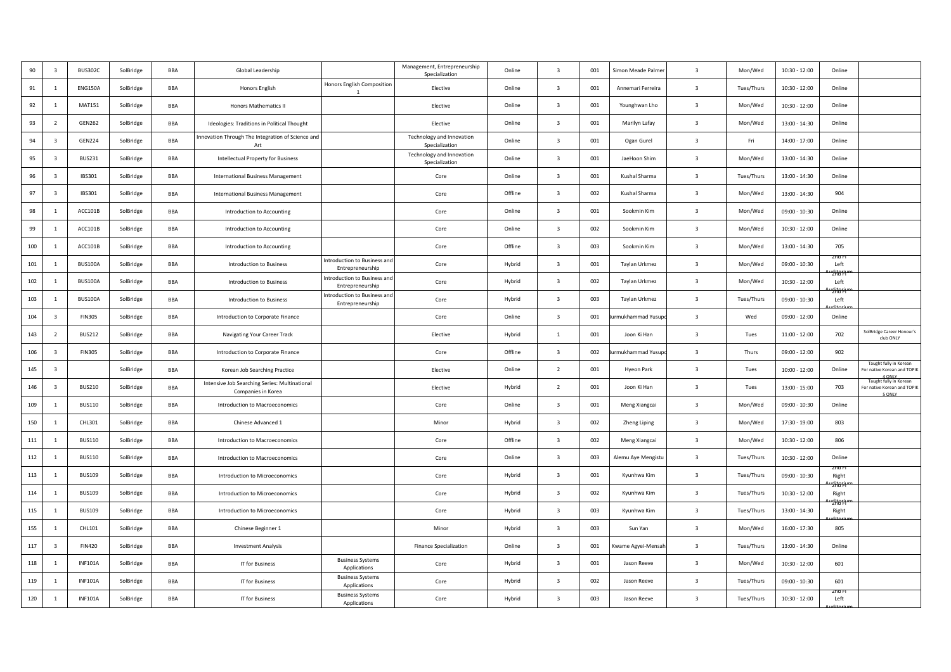| 90  | $\overline{\mathbf{3}}$ | <b>BUS302C</b> | SolBridge | <b>BBA</b> | Global Leadership                                                   |                                                  | Management, Entrepreneurship<br>Specialization | Online  | $\overline{\mathbf{3}}$ | 001 | Simon Meade Palmer | $\overline{\mathbf{3}}$ | Mon/Wed    | $10:30 - 12:00$ | Online                  |                                                                                          |
|-----|-------------------------|----------------|-----------|------------|---------------------------------------------------------------------|--------------------------------------------------|------------------------------------------------|---------|-------------------------|-----|--------------------|-------------------------|------------|-----------------|-------------------------|------------------------------------------------------------------------------------------|
| 91  | 1                       | <b>ENG150A</b> | SolBridge | BBA        | Honors English                                                      | Honors English Composition<br>$\overline{1}$     | Elective                                       | Online  | $\overline{\mathbf{3}}$ | 001 | Annemari Ferreira  | $\overline{\mathbf{3}}$ | Tues/Thurs | $10:30 - 12:00$ | Online                  |                                                                                          |
| 92  | 1                       | <b>MAT151</b>  | SolBridge | BBA        | Honors Mathematics II                                               |                                                  | Elective                                       | Online  | $\overline{\mathbf{3}}$ | 001 | Younghwan Lho      | $\overline{\mathbf{3}}$ | Mon/Wed    | $10:30 - 12:00$ | Online                  |                                                                                          |
| 93  | $\overline{2}$          | <b>GEN262</b>  | SolBridge | BBA        | Ideologies: Traditions in Political Thought                         |                                                  | Elective                                       | Online  | $\overline{\mathbf{3}}$ | 001 | Marilyn Lafay      | $\overline{\mathbf{3}}$ | Mon/Wed    | $13:00 - 14:30$ | Online                  |                                                                                          |
| 94  | $\overline{\mathbf{3}}$ | <b>GEN224</b>  | SolBridge | BBA        | Innovation Through The Integration of Science and<br>Art            |                                                  | Technology and Innovation<br>Specialization    | Online  | $\overline{3}$          | 001 | Ogan Gurel         | $\overline{\mathbf{3}}$ | Fri        | 14:00 - 17:00   | Online                  |                                                                                          |
| 95  | $\overline{\mathbf{3}}$ | <b>BUS231</b>  | SolBridge | <b>BBA</b> | Intellectual Property for Business                                  |                                                  | Technology and Innovation<br>Specialization    | Online  | $\overline{\mathbf{3}}$ | 001 | JaeHoon Shim       | $\overline{\mathbf{3}}$ | Mon/Wed    | $13:00 - 14:30$ | Online                  |                                                                                          |
| 96  | $\overline{\mathbf{3}}$ | <b>IBS301</b>  | SolBridge | BBA        | <b>International Business Management</b>                            |                                                  | Core                                           | Online  | $\overline{\mathbf{3}}$ | 001 | Kushal Sharma      | $\overline{\mathbf{3}}$ | Tues/Thurs | 13:00 - 14:30   | Online                  |                                                                                          |
| 97  | $\overline{\mathbf{3}}$ | <b>IBS301</b>  | SolBridge | BBA        | <b>International Business Management</b>                            |                                                  | Core                                           | Offline | $\overline{\mathbf{3}}$ | 002 | Kushal Sharma      | $\overline{\mathbf{3}}$ | Mon/Wed    | $13:00 - 14:30$ | 904                     |                                                                                          |
| 98  | 1                       | ACC101B        | SolBridge | BBA        | Introduction to Accounting                                          |                                                  | Core                                           | Online  | $\overline{\mathbf{3}}$ | 001 | Sookmin Kim        | $\overline{\mathbf{3}}$ | Mon/Wed    | 09:00 - 10:30   | Online                  |                                                                                          |
| 99  | -1                      | ACC101B        | SolBridge | BBA        | Introduction to Accounting                                          |                                                  | Core                                           | Online  | $\overline{3}$          | 002 | Sookmin Kim        | $\overline{\mathbf{3}}$ | Mon/Wed    | $10:30 - 12:00$ | Online                  |                                                                                          |
| 100 | $\mathbf{1}$            | ACC101B        | SolBridge | BBA        | Introduction to Accounting                                          |                                                  | Core                                           | Offline | $\overline{\mathbf{3}}$ | 003 | Sookmin Kim        | $\overline{\mathbf{3}}$ | Mon/Wed    | 13:00 - 14:30   | 705                     |                                                                                          |
| 101 | 1                       | <b>BUS100A</b> | SolBridge | BBA        | Introduction to Business                                            | Introduction to Business and<br>Entrepreneurship | Core                                           | Hybrid  | $\overline{\mathbf{3}}$ | 001 | Taylan Urkmez      | $\overline{\mathbf{3}}$ | Mon/Wed    | 09:00 - 10:30   | zna r<br>Left<br>2K8F   |                                                                                          |
| 102 | 1                       | <b>BUS100A</b> | SolBridge | BBA        | Introduction to Business                                            | Introduction to Business and<br>Entrepreneurship | Core                                           | Hybrid  | $\overline{\mathbf{3}}$ | 002 | Taylan Urkmez      | $\overline{\mathbf{3}}$ | Mon/Wed    | $10:30 - 12:00$ | Left                    |                                                                                          |
| 103 | 1                       | <b>BUS100A</b> | SolBridge | <b>BBA</b> | Introduction to Business                                            | Introduction to Business and<br>Entrepreneurship | Core                                           | Hybrid  | $\overline{\mathbf{3}}$ | 003 | Taylan Urkmez      | $\overline{\mathbf{3}}$ | Tues/Thurs | $09:00 - 10:30$ | Left                    |                                                                                          |
| 104 | $\overline{\mathbf{3}}$ | <b>FIN305</b>  | SolBridge | BBA        | Introduction to Corporate Finance                                   |                                                  | Core                                           | Online  | $\mathbf{B}$            | 001 | rmukhammad Yusup   | $\overline{\mathbf{3}}$ | Wed        | $09:00 - 12:00$ | Online                  |                                                                                          |
| 143 | $\overline{2}$          | <b>BUS212</b>  | SolBridge | BBA        | Navigating Your Career Track                                        |                                                  | Elective                                       | Hybrid  | 1                       | 001 | Joon Ki Han        | $\overline{\mathbf{3}}$ | Tues       | $11:00 - 12:00$ | 702                     | SolBridge Career Honour's<br>club ONLY                                                   |
| 106 | $\overline{\mathbf{3}}$ | <b>FIN305</b>  | SolBridge | BBA        | Introduction to Corporate Finance                                   |                                                  | Core                                           | Offline | $\overline{\mathbf{3}}$ | 002 | rmukhammad Yusup   | $\overline{\mathbf{3}}$ | Thurs      | $09:00 - 12:00$ | 902                     |                                                                                          |
| 145 | $\overline{\mathbf{3}}$ |                | SolBridge | BBA        | Korean Job Searching Practice                                       |                                                  | Elective                                       | Online  | $\overline{2}$          | 001 | Hyeon Park         | $\overline{\mathbf{3}}$ | Tues       | $10:00 - 12:00$ | Online                  | Taught fully in Korean<br>or native Korean and TOPIK<br>4 ONLY<br>Taught fully in Korean |
| 146 | $\overline{\mathbf{3}}$ | <b>BUS210</b>  | SolBridge | BBA        | Intensive Job Searching Series: Multinational<br>Companies in Korea |                                                  | Elective                                       | Hybrid  | $\overline{2}$          | 001 | Joon Ki Han        | $\overline{\mathbf{3}}$ | Tues       | $13:00 - 15:00$ | 703                     | For native Korean and TOPIK<br>5 ONLY                                                    |
| 109 | 1                       | <b>BUS110</b>  | SolBridge | BBA        | Introduction to Macroeconomics                                      |                                                  | Core                                           | Online  | $\overline{3}$          | 001 | Meng Xiangcai      | $\overline{\mathbf{3}}$ | Mon/Wed    | $09:00 - 10:30$ | Online                  |                                                                                          |
| 150 | 1                       | CHL301         | SolBridge | BBA        | Chinese Advanced 1                                                  |                                                  | Minor                                          | Hybrid  | $\overline{\mathbf{3}}$ | 002 | Zheng Liping       | $\overline{\mathbf{3}}$ | Mon/Wed    | 17:30 - 19:00   | 803                     |                                                                                          |
| 111 | 1                       | <b>BUS110</b>  | SolBridge | BBA        | Introduction to Macroeconomics                                      |                                                  | Core                                           | Offline | $\overline{\mathbf{3}}$ | 002 | Meng Xiangcai      | $\overline{\mathbf{3}}$ | Mon/Wed    | $10:30 - 12:00$ | 806                     |                                                                                          |
| 112 | $\mathbf{1}$            | <b>BUS110</b>  | SolBridge | <b>BBA</b> | Introduction to Macroeconomics                                      |                                                  | Core                                           | Online  | $\overline{\mathbf{3}}$ | 003 | Alemu Aye Mengistu | $\overline{\mathbf{3}}$ | Tues/Thurs | $10:30 - 12:00$ | Online                  |                                                                                          |
| 113 | 1                       | <b>BUS109</b>  | SolBridge | BBA        | Introduction to Microeconomics                                      |                                                  | Core                                           | Hybrid  | $\overline{\mathbf{3}}$ | 001 | Kyunhwa Kim        | $\overline{\mathbf{3}}$ | Tues/Thurs | $09:00 - 10:30$ | zna r<br>Right<br>2Hari |                                                                                          |
| 114 | 1                       | <b>BUS109</b>  | SolBridge | BBA        | Introduction to Microeconomics                                      |                                                  | Core                                           | Hybrid  | $\overline{\mathbf{3}}$ | 002 | Kyunhwa Kim        | $\overline{\mathbf{3}}$ | Tues/Thurs | $10:30 - 12:00$ | Right                   |                                                                                          |
| 115 | 1                       | <b>BUS109</b>  | SolBridge | BBA        | Introduction to Microeconomics                                      |                                                  | Core                                           | Hybrid  | $\overline{\mathbf{3}}$ | 003 | Kyunhwa Kim        | $\overline{\mathbf{3}}$ | Tues/Thurs | 13:00 - 14:30   | łKa i<br>Right          |                                                                                          |
| 155 | <sup>1</sup>            | CHL101         | SolBridge | BBA        | Chinese Beginner 1                                                  |                                                  | Minor                                          | Hybrid  | $\overline{\mathbf{3}}$ | 003 | Sun Yan            | $\overline{\mathbf{3}}$ | Mon/Wed    | $16:00 - 17:30$ | 805                     |                                                                                          |
| 117 | $\overline{\mathbf{3}}$ | <b>FIN420</b>  | SolBridge | BBA        | <b>Investment Analysis</b>                                          |                                                  | <b>Finance Specialization</b>                  | Online  | $\overline{\mathbf{3}}$ | 001 | wame Agyei-Mensal  | $\overline{\mathbf{3}}$ | Tues/Thurs | 13:00 - 14:30   | Online                  |                                                                                          |
| 118 | 1                       | <b>INF101A</b> | SolBridge | BBA        | IT for Business                                                     | <b>Business Systems</b><br>Applications          | Core                                           | Hybrid  | $\overline{\mathbf{3}}$ | 001 | Jason Reeve        | $\overline{\mathbf{3}}$ | Mon/Wed    | $10:30 - 12:00$ | 601                     |                                                                                          |
| 119 | 1                       | <b>INF101A</b> | SolBridge | BBA        | IT for Business                                                     | <b>Business Systems</b><br>Applications          | Core                                           | Hybrid  | $\overline{\mathbf{3}}$ | 002 | Jason Reeve        | $\overline{\mathbf{3}}$ | Tues/Thurs | $09:00 - 10:30$ | 601                     |                                                                                          |
| 120 | 1                       | <b>INF101A</b> | SolBridge | BBA        | IT for Business                                                     | <b>Business Systems</b><br>Applications          | Core                                           | Hybrid  | $\overline{\mathbf{3}}$ | 003 | Jason Reeve        | $\overline{\mathbf{3}}$ | Tues/Thurs | $10:30 - 12:00$ | zna r<br>Left           |                                                                                          |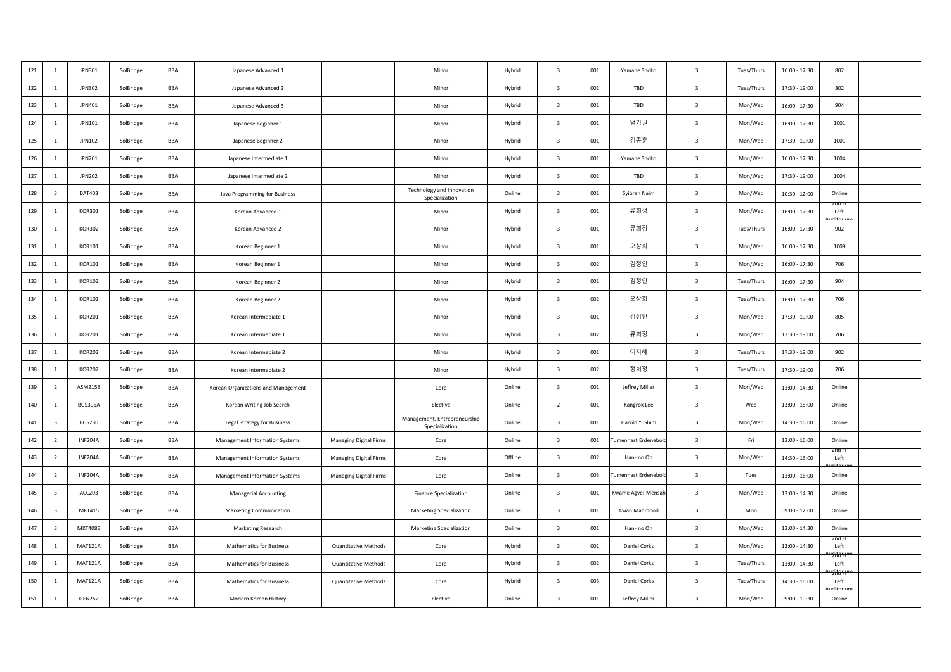| 121 | 1                       | JPN301         | SolBridge | <b>BBA</b> | Japanese Advanced 1                 |                               | Minor                                          | Hybrid  | $\overline{\mathbf{3}}$ | 001 | Yamane Shoko        | $\overline{\mathbf{3}}$ | Tues/Thurs | $16:00 - 17:30$ | 802            |  |
|-----|-------------------------|----------------|-----------|------------|-------------------------------------|-------------------------------|------------------------------------------------|---------|-------------------------|-----|---------------------|-------------------------|------------|-----------------|----------------|--|
| 122 | $\mathbf{1}$            | <b>JPN302</b>  | SolBridge | <b>BBA</b> | Japanese Advanced 2                 |                               | Minor                                          | Hybrid  | $\overline{\mathbf{3}}$ | 001 | TBD                 | $\overline{\mathbf{3}}$ | Tues/Thurs | $17:30 - 19:00$ | 802            |  |
| 123 | 1                       | JPN401         | SolBridge | BBA        | Japanese Advanced 3                 |                               | Minor                                          | Hybrid  | $\overline{\mathbf{3}}$ | 001 | TBD                 | $\overline{\mathbf{3}}$ | Mon/Wed    | 16:00 - 17:30   | 904            |  |
| 124 | 1                       | JPN101         | SolBridge | BBA        | Japanese Beginner 1                 |                               | Minor                                          | Hybrid  | $\overline{\mathbf{3}}$ | 001 | 엄기권                 | $\overline{\mathbf{3}}$ | Mon/Wed    | $16:00 - 17:30$ | 1001           |  |
| 125 | 1                       | JPN102         | SolBridge | BBA        | Japanese Beginner 2                 |                               | Minor                                          | Hybrid  | $\overline{\mathbf{3}}$ | 001 | 김종훈                 | $\overline{\mathbf{3}}$ | Mon/Wed    | 17:30 - 19:00   | 1001           |  |
| 126 | $\mathbf{1}$            | JPN201         | SolBridge | <b>BBA</b> | Japanese Intermediate 1             |                               | Minor                                          | Hybrid  | $\overline{\mathbf{3}}$ | 001 | Yamane Shoko        | $\overline{\mathbf{3}}$ | Mon/Wed    | $16:00 - 17:30$ | 1004           |  |
| 127 | 1                       | JPN202         | SolBridge | BBA        | Japanese Intermediate 2             |                               | Minor                                          | Hybrid  | $\overline{\mathbf{3}}$ | 001 | TBD                 | $\overline{\mathbf{3}}$ | Mon/Wed    | 17:30 - 19:00   | 1004           |  |
| 128 | $\overline{\mathbf{3}}$ | DAT403         | SolBridge | BBA        | Java Programming for Business       |                               | Technology and Innovation<br>Specialization    | Online  | $\overline{\mathbf{3}}$ | 001 | Syibrah Naim        | $\overline{\mathbf{3}}$ | Mon/Wed    | $10:30 - 12:00$ | Online         |  |
| 129 | 1                       | KOR301         | SolBridge | BBA        | Korean Advanced 1                   |                               | Minor                                          | Hybrid  | $\overline{\mathbf{3}}$ | 001 | 류희정                 | $\overline{\mathbf{3}}$ | Mon/Wed    | $16:00 - 17:30$ | zna r<br>Left  |  |
| 130 | 1                       | <b>KOR302</b>  | SolBridge | BBA        | Korean Advanced 2                   |                               | Minor                                          | Hybrid  | $\overline{\mathbf{3}}$ | 001 | 류희정                 | $\overline{\mathbf{3}}$ | Tues/Thurs | $16:00 - 17:30$ | 902            |  |
| 131 | 1                       | KOR101         | SolBridge | BBA        | Korean Beginner 1                   |                               | Minor                                          | Hybrid  | $\overline{\mathbf{3}}$ | 001 | 오상희                 | $\overline{\mathbf{3}}$ | Mon/Wed    | $16:00 - 17:30$ | 1009           |  |
| 132 | 1                       | KOR101         | SolBridge | BBA        | Korean Beginner 1                   |                               | Minor                                          | Hybrid  | $\overline{\mathbf{3}}$ | 002 | 김정인                 | $\overline{\mathbf{3}}$ | Mon/Wed    | 16:00 - 17:30   | 706            |  |
| 133 | 1                       | KOR102         | SolBridge | BBA        | Korean Beginner 2                   |                               | Minor                                          | Hybrid  | $\overline{\mathbf{3}}$ | 001 | 김정인                 | $\overline{\mathbf{3}}$ | Tues/Thurs | $16:00 - 17:30$ | 904            |  |
| 134 | 1                       | KOR102         | SolBridge | BBA        | Korean Beginner 2                   |                               | Minor                                          | Hybrid  | $\overline{\mathbf{3}}$ | 002 | 오상희                 | $\overline{\mathbf{3}}$ | Tues/Thurs | 16:00 - 17:30   | 706            |  |
| 135 | 1                       | <b>KOR201</b>  | SolBridge | BBA        | Korean Intermediate 1               |                               | Minor                                          | Hybrid  | $\overline{\mathbf{3}}$ | 001 | 김정인                 | $\overline{\mathbf{3}}$ | Mon/Wed    | 17:30 - 19:00   | 805            |  |
| 136 | $\mathbf{1}$            | <b>KOR201</b>  | SolBridge | BBA        | Korean Intermediate 1               |                               | Minor                                          | Hybrid  | $\overline{\mathbf{3}}$ | 002 | 류희정                 | $\overline{\mathbf{3}}$ | Mon/Wed    | 17:30 - 19:00   | 706            |  |
| 137 | 1                       | <b>KOR202</b>  | SolBridge | BBA        | Korean Intermediate 2               |                               | Minor                                          | Hybrid  | $\overline{\mathbf{3}}$ | 001 | 이지혜                 | $\overline{\mathbf{3}}$ | Tues/Thurs | 17:30 - 19:00   | 902            |  |
| 138 | 1                       | <b>KOR202</b>  | SolBridge | BBA        | Korean Intermediate 2               |                               | Minor                                          | Hybrid  | $\overline{\mathbf{3}}$ | 002 | 정희정                 | $\overline{\mathbf{3}}$ | Tues/Thurs | 17:30 - 19:00   | 706            |  |
| 139 | $\overline{2}$          | ASM215B        | SolBridge | BBA        | Korean Organizations and Management |                               | Core                                           | Online  | $\overline{\mathbf{3}}$ | 001 | Jeffrey Miller      | $\overline{\mathbf{3}}$ | Mon/Wed    | 13:00 - 14:30   | Online         |  |
| 140 | 1                       | <b>BUS395A</b> | SolBridge | BBA        | Korean Writing Job Search           |                               | Elective                                       | Online  | $\overline{2}$          | 001 | Kangrok Lee         | $\overline{\mathbf{3}}$ | Wed        | $13:00 - 15:00$ | Online         |  |
| 141 | $\overline{\mathbf{3}}$ | <b>BUS230</b>  | SolBridge | BBA        | <b>Legal Strategy for Business</b>  |                               | Management, Entrepreneurship<br>Specialization | Online  | $\overline{\mathbf{3}}$ | 001 | Harold Y. Shim      | $\overline{\mathbf{3}}$ | Mon/Wed    | $14:30 - 16:00$ | Online         |  |
| 142 | $\overline{2}$          | <b>INF204A</b> | SolBridge | BBA        | Management Information Systems      | Managing Digital Firms        | Core                                           | Online  | $\overline{\mathbf{3}}$ | 001 | umennast Erdenebolo | $\overline{\mathbf{3}}$ | Fri        | 13:00 - 16:00   | Online         |  |
| 143 | $\overline{2}$          | <b>INF204A</b> | SolBridge | BBA        | Management Information Systems      | <b>Managing Digital Firms</b> | Core                                           | Offline | $\overline{\mathbf{3}}$ | 002 | Han-mo Oh           | $\overline{\mathbf{3}}$ | Mon/Wed    | $14:30 - 16:00$ | zna r<br>Left  |  |
| 144 | $\overline{2}$          | <b>INF204A</b> | SolBridge | BBA        | Management Information Systems      | <b>Managing Digital Firms</b> | Core                                           | Online  | $\overline{\mathbf{3}}$ | 003 | Tumennast Erdenebol | $\overline{\mathbf{3}}$ | Tues       | 13:00 - 16:00   | Online         |  |
| 145 | $\overline{3}$          | ACC203         | SolBridge | BBA        | <b>Managerial Accounting</b>        |                               | <b>Finance Specialization</b>                  | Online  | $\overline{\mathbf{3}}$ | 001 | (wame Agyei-Mensah  | $\overline{\mathbf{3}}$ | Mon/Wed    | $13:00 - 14:30$ | Online         |  |
| 146 | 3                       | <b>MKT415</b>  | SolBridge | BBA        | Marketing Communication             |                               | Marketing Specialization                       | Online  | $\overline{\mathbf{3}}$ | 001 | Awan Mahmood        | $\overline{\mathbf{3}}$ | Mon        | $09:00 - 12:00$ | Online         |  |
| 147 | $\overline{\mathbf{3}}$ | <b>MKT408B</b> | SolBridge | BBA        | Marketing Research                  |                               | <b>Marketing Specialization</b>                | Online  | $\overline{\mathbf{3}}$ | 001 | Han-mo Oh           | $\overline{\mathbf{3}}$ | Mon/Wed    | $13:00 - 14:30$ | Online         |  |
| 148 | 1                       | <b>MAT121A</b> | SolBridge | BBA        | <b>Mathematics for Business</b>     | <b>Quantitative Methods</b>   | Core                                           | Hybrid  | $\overline{\mathbf{3}}$ | 001 | Daniel Corks        | $\overline{\mathbf{3}}$ | Mon/Wed    | $13:00 - 14:30$ | zna r<br>Left  |  |
| 149 | $\mathbf{1}$            | <b>MAT121A</b> | SolBridge | BBA        | <b>Mathematics for Business</b>     | <b>Quantitative Methods</b>   | Core                                           | Hybrid  | $\overline{\mathbf{3}}$ | 002 | Daniel Corks        | $\overline{\mathbf{3}}$ | Tues/Thurs | $13:00 - 14:30$ | '2Kar⊧<br>Left |  |
| 150 | $\overline{1}$          | <b>MAT121A</b> | SolBridge | BBA        | <b>Mathematics for Business</b>     | Quantitative Methods          | Core                                           | Hybrid  | $\overline{3}$          | 003 | Daniel Corks        | $\overline{\mathbf{3}}$ | Tues/Thurs | 14:30 - 16:00   | Left           |  |
| 151 | 1                       | <b>GEN252</b>  | SolBridge | BBA        | Modern Korean History               |                               | Elective                                       | Online  | $\overline{\mathbf{3}}$ | 001 | Jeffrey Miller      | $\overline{\mathbf{3}}$ | Mon/Wed    | $09:00 - 10:30$ | Online         |  |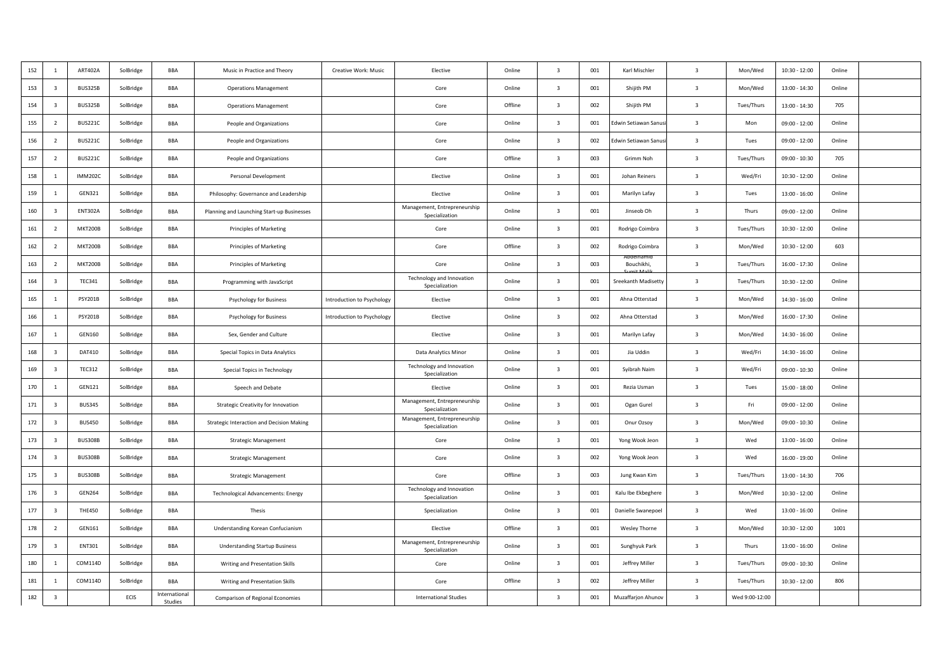| 152 | $\mathbf{1}$            | <b>ART402A</b> | SolBridge | BBA                      | Music in Practice and Theory               | Creative Work: Music       | Elective                                       | Online  | $\overline{\mathbf{3}}$ | 001 | Karl Mischler        | $\overline{\mathbf{3}}$ | Mon/Wed        | $10:30 - 12:00$ | Online |  |
|-----|-------------------------|----------------|-----------|--------------------------|--------------------------------------------|----------------------------|------------------------------------------------|---------|-------------------------|-----|----------------------|-------------------------|----------------|-----------------|--------|--|
| 153 | $\overline{\mathbf{3}}$ | <b>BUS325B</b> | SolBridge | BBA                      | <b>Operations Management</b>               |                            | Core                                           | Online  | $\overline{\mathbf{3}}$ | 001 | Shijith PM           | $\overline{\mathbf{3}}$ | Mon/Wed        | 13:00 - 14:30   | Online |  |
| 154 | $\overline{\mathbf{3}}$ | <b>BUS325B</b> | SolBridge | BBA                      | <b>Operations Management</b>               |                            | Core                                           | Offline | $\overline{\mathbf{3}}$ | 002 | Shijith PM           | $\overline{\mathbf{3}}$ | Tues/Thurs     | $13:00 - 14:30$ | 705    |  |
| 155 | $\overline{2}$          | <b>BUS221C</b> | SolBridge | BBA                      | People and Organizations                   |                            | Core                                           | Online  | $\overline{\mathbf{3}}$ | 001 | Edwin Setiawan Sanus | $\overline{\mathbf{3}}$ | Mon            | $09:00 - 12:00$ | Online |  |
| 156 | $\overline{2}$          | <b>BUS221C</b> | SolBridge | <b>BBA</b>               | People and Organizations                   |                            | Core                                           | Online  | $\overline{\mathbf{3}}$ | 002 | dwin Setiawan Sanus  | $\overline{\mathbf{3}}$ | Tues           | $09:00 - 12:00$ | Online |  |
| 157 | $\overline{2}$          | <b>BUS221C</b> | SolBridge | BBA                      | People and Organizations                   |                            | Core                                           | Offline | $\overline{\mathbf{3}}$ | 003 | Grimm Noh            | $\overline{\mathbf{3}}$ | Tues/Thurs     | $09:00 - 10:30$ | 705    |  |
| 158 | 1                       | <b>IMM202C</b> | SolBridge | BBA                      | Personal Development                       |                            | Elective                                       | Online  | $\overline{\mathbf{3}}$ | 001 | Johan Reiners        | $\overline{\mathbf{3}}$ | Wed/Fri        | $10:30 - 12:00$ | Online |  |
| 159 | 1                       | GEN321         | SolBridge | BBA                      | Philosophy: Governance and Leadership      |                            | Elective                                       | Online  | $\overline{\mathbf{3}}$ | 001 | Marilyn Lafay        | $\overline{\mathbf{3}}$ | Tues           | $13:00 - 16:00$ | Online |  |
| 160 | $\overline{\mathbf{3}}$ | <b>ENT302A</b> | SolBridge | BBA                      | Planning and Launching Start-up Businesses |                            | Management, Entrepreneurship<br>Specialization | Online  | $\overline{\mathbf{3}}$ | 001 | Jinseob Oh           | $\overline{\mathbf{3}}$ | Thurs          | $09:00 - 12:00$ | Online |  |
| 161 | $\overline{2}$          | <b>MKT200B</b> | SolBridge | BBA                      | <b>Principles of Marketing</b>             |                            | Core                                           | Online  | $\overline{\mathbf{3}}$ | 001 | Rodrigo Coimbra      | $\overline{\mathbf{3}}$ | Tues/Thurs     | $10:30 - 12:00$ | Online |  |
| 162 | $\overline{2}$          | <b>MKT200B</b> | SolBridge | BBA                      | Principles of Marketing                    |                            | Core                                           | Offline | $\overline{3}$          | 002 | Rodrigo Coimbra      | $\overline{\mathbf{3}}$ | Mon/Wed        | $10:30 - 12:00$ | 603    |  |
| 163 | $\overline{2}$          | <b>MKT200B</b> | SolBridge | <b>BBA</b>               | <b>Principles of Marketing</b>             |                            | Core                                           | Online  | $\overline{3}$          | 003 | Bouchikhi.           | $\overline{\mathbf{3}}$ | Tues/Thurs     | $16:00 - 17:30$ | Online |  |
| 164 | $\overline{\mathbf{3}}$ | <b>TEC341</b>  | SolBridge | BBA                      | Programming with JavaScript                |                            | Technology and Innovation<br>Specialization    | Online  | $\overline{\mathbf{3}}$ | 001 | Sreekanth Madisetty  | $\overline{\mathbf{3}}$ | Tues/Thurs     | $10:30 - 12:00$ | Online |  |
| 165 | 1                       | <b>PSY201B</b> | SolBridge | BBA                      | <b>Psychology for Business</b>             | Introduction to Psychology | Elective                                       | Online  | $\overline{\mathbf{3}}$ | 001 | Ahna Otterstad       | $\overline{\mathbf{3}}$ | Mon/Wed        | $14:30 - 16:00$ | Online |  |
| 166 | 1                       | <b>PSY201B</b> | SolBridge | BBA                      | Psychology for Business                    | Introduction to Psychology | Elective                                       | Online  | $\overline{\mathbf{3}}$ | 002 | Ahna Otterstad       | $\overline{\mathbf{3}}$ | Mon/Wed        | 16:00 - 17:30   | Online |  |
| 167 | 1                       | GEN160         | SolBridge | BBA                      | Sex, Gender and Culture                    |                            | Elective                                       | Online  | $\overline{\mathbf{3}}$ | 001 | Marilyn Lafay        | $\overline{\mathbf{3}}$ | Mon/Wed        | $14:30 - 16:00$ | Online |  |
| 168 | $\overline{\mathbf{3}}$ | DAT410         | SolBridge | BBA                      | Special Topics in Data Analytics           |                            | Data Analytics Minor                           | Online  | $\overline{\mathbf{3}}$ | 001 | Jia Uddin            | $\overline{\mathbf{3}}$ | Wed/Fri        | $14:30 - 16:00$ | Online |  |
| 169 | $\overline{\mathbf{3}}$ | <b>TEC312</b>  | SolBridge | BBA                      | Special Topics in Technology               |                            | Technology and Innovation<br>Specialization    | Online  | $\overline{\mathbf{3}}$ | 001 | Syibrah Naim         | $\overline{\mathbf{3}}$ | Wed/Fri        | 09:00 - 10:30   | Online |  |
| 170 | 1                       | GEN121         | SolBridge | BBA                      | Speech and Debate                          |                            | Elective                                       | Online  | $\overline{\mathbf{3}}$ | 001 | Rezia Usman          | $\overline{\mathbf{3}}$ | Tues           | $15:00 - 18:00$ | Online |  |
| 171 | $\overline{\mathbf{3}}$ | <b>BUS345</b>  | SolBridge | BBA                      | Strategic Creativity for Innovation        |                            | Management, Entrepreneurship<br>Specialization | Online  | $\overline{\mathbf{3}}$ | 001 | Ogan Gurel           | $\overline{\mathbf{3}}$ | Fri            | $09:00 - 12:00$ | Online |  |
| 172 | $\overline{\mathbf{3}}$ | <b>BUS450</b>  | SolBridge | BBA                      | Strategic Interaction and Decision Making  |                            | Management, Entrepreneurship<br>Specialization | Online  | $\overline{\mathbf{3}}$ | 001 | Onur Ozsoy           | $\overline{\mathbf{3}}$ | Mon/Wed        | 09:00 - 10:30   | Online |  |
| 173 | $\overline{\mathbf{3}}$ | <b>BUS308B</b> | SolBridge | <b>BBA</b>               | <b>Strategic Management</b>                |                            | Core                                           | Online  | $\overline{3}$          | 001 | Yong Wook Jeon       | $\overline{\mathbf{3}}$ | Wed            | $13:00 - 16:00$ | Online |  |
| 174 | $\overline{\mathbf{3}}$ | <b>BUS308B</b> | SolBridge | BBA                      | <b>Strategic Management</b>                |                            | Core                                           | Online  | $\overline{\mathbf{3}}$ | 002 | Yong Wook Jeon       | $\overline{\mathbf{3}}$ | Wed            | $16:00 - 19:00$ | Online |  |
| 175 | $\overline{\mathbf{3}}$ | <b>BUS308B</b> | SolBridge | BBA                      | <b>Strategic Management</b>                |                            | Core                                           | Offline | $\overline{\mathbf{3}}$ | 003 | Jung Kwan Kim        | $\overline{\mathbf{3}}$ | Tues/Thurs     | $13:00 - 14:30$ | 706    |  |
| 176 | $\overline{\mathbf{3}}$ | <b>GEN264</b>  | SolBridge | BBA                      | <b>Technological Advancements: Energy</b>  |                            | Technology and Innovation<br>Specialization    | Online  | $\overline{\mathbf{3}}$ | 001 | Kalu Ibe Ekbeghere   | $\overline{\mathbf{3}}$ | Mon/Wed        | $10:30 - 12:00$ | Online |  |
| 177 | $\overline{\mathbf{3}}$ | <b>THE450</b>  | SolBridge | BBA                      | Thesis                                     |                            | Specialization                                 | Online  | $\overline{\mathbf{3}}$ | 001 | Danielle Swanepoel   | $\overline{\mathbf{3}}$ | Wed            | $13:00 - 16:00$ | Online |  |
| 178 | $\overline{2}$          | GEN161         | SolBridge | <b>BBA</b>               | Understanding Korean Confucianism          |                            | Elective                                       | Offline | $\overline{\mathbf{3}}$ | 001 | <b>Wesley Thorne</b> | $\overline{\mathbf{3}}$ | Mon/Wed        | $10:30 - 12:00$ | 1001   |  |
| 179 | $\overline{\mathbf{3}}$ | <b>ENT301</b>  | SolBridge | BBA                      | <b>Understanding Startup Business</b>      |                            | Management, Entrepreneurship<br>Specialization | Online  | $\overline{\mathbf{3}}$ | 001 | Sunghyuk Park        | $\overline{3}$          | Thurs          | $13:00 - 16:00$ | Online |  |
| 180 | 1                       | COM114D        | SolBridge | BBA                      | Writing and Presentation Skills            |                            | Core                                           | Online  | $\overline{\mathbf{3}}$ | 001 | Jeffrey Miller       | $\overline{\mathbf{3}}$ | Tues/Thurs     | $09:00 - 10:30$ | Online |  |
| 181 | -1                      | COM114D        | SolBridge | BBA                      | Writing and Presentation Skills            |                            | Core                                           | Offline | $\overline{\mathbf{3}}$ | 002 | Jeffrey Miller       | $\overline{\mathbf{3}}$ | Tues/Thurs     | $10:30 - 12:00$ | 806    |  |
| 182 | $\overline{\mathbf{3}}$ |                | ECIS      | International<br>Studies | Comparison of Regional Economies           |                            | <b>International Studies</b>                   |         | $\overline{\mathbf{3}}$ | 001 | Muzaffarjon Ahunov   | $\overline{3}$          | Wed 9:00-12:00 |                 |        |  |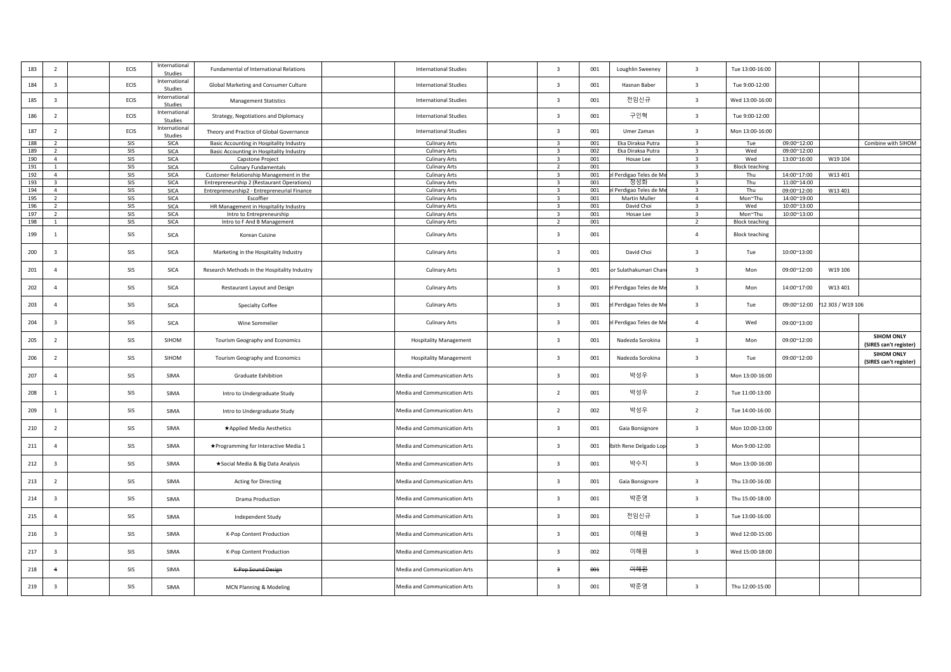| 183 | $\overline{2}$          | ECIS | International<br>Studies | Fundamental of International Relations       | <b>International Studies</b>  | $\overline{\mathbf{3}}$ | 001 | Loughlin Sweeney      | $\overline{\mathbf{3}}$ | Tue 13:00-16:00       |             |                  |                                             |
|-----|-------------------------|------|--------------------------|----------------------------------------------|-------------------------------|-------------------------|-----|-----------------------|-------------------------|-----------------------|-------------|------------------|---------------------------------------------|
| 184 | $\overline{\mathbf{3}}$ | ECIS | International<br>Studies | Global Marketing and Consumer Culture        | <b>International Studies</b>  | $\overline{\mathbf{3}}$ | 001 | Hasnan Baber          | $\overline{\mathbf{3}}$ | Tue 9:00-12:00        |             |                  |                                             |
| 185 | $\overline{\mathbf{3}}$ | ECIS | International<br>Studies | <b>Management Statistics</b>                 | <b>International Studies</b>  | $\overline{\mathbf{3}}$ | 001 | 전임신규                  | $\overline{\mathbf{3}}$ | Wed 13:00-16:00       |             |                  |                                             |
| 186 | $\overline{2}$          | ECIS | International<br>Studies | Strategy, Negotiations and Diplomacy         | <b>International Studies</b>  | $\overline{\mathbf{3}}$ | 001 | 구인혁                   | $\overline{\mathbf{3}}$ | Tue 9:00-12:00        |             |                  |                                             |
| 187 | $\overline{2}$          | ECIS | International<br>Studies | Theory and Practice of Global Governance     | <b>International Studies</b>  | $\overline{\mathbf{3}}$ | 001 | Umer Zaman            | $\overline{\mathbf{3}}$ | Mon 13:00-16:00       |             |                  |                                             |
| 188 | $\overline{2}$          | SIS  | SICA                     | Basic Accounting in Hospitality Industry     | <b>Culinary Arts</b>          | $\overline{3}$          | 001 | Eka Diraksa Putra     | $\overline{\mathbf{3}}$ | Tue                   | 09:00~12:00 |                  | Combine with SIHOM                          |
| 189 | $\overline{2}$          | SIS  | <b>SICA</b>              | Basic Accounting in Hospitality Industry     | <b>Culinary Arts</b>          | $\overline{3}$          | 002 | Eka Diraksa Putra     | $\overline{\mathbf{3}}$ | Wed                   | 09:00~12:00 |                  |                                             |
| 190 | $\overline{4}$          | SIS  | <b>SICA</b>              | Capstone Project                             | <b>Culinary Arts</b>          | $\overline{\mathbf{3}}$ | 001 | Hosae Lee             | $\overline{\mathbf{3}}$ | Wed                   | 13:00~16:00 | W19 104          |                                             |
| 191 | 1                       | SIS  | SICA                     | <b>Culinary Fundamentals</b>                 | <b>Culinary Arts</b>          | $\overline{2}$          | 001 |                       | $\overline{\mathbf{3}}$ | <b>Block teaching</b> |             |                  |                                             |
|     |                         |      |                          |                                              |                               | $\overline{\mathbf{3}}$ |     |                       | $\overline{\mathbf{3}}$ |                       |             |                  |                                             |
| 192 | $\overline{4}$          | SIS  | <b>SICA</b>              | Customer Relationship Management in the      | <b>Culinary Arts</b>          |                         | 001 | Perdigao Teles de Mo  |                         | Thu                   | 14:00~17:00 | W13 401          |                                             |
| 193 | $\overline{\mathbf{3}}$ | SIS  | <b>SICA</b>              | Entrepreneurship 2 (Restaurant Operations)   | <b>Culinary Arts</b>          | $\overline{\mathbf{3}}$ | 001 | 정성화                   | $\overline{\mathbf{3}}$ | Thu                   | 11:00~14:00 |                  |                                             |
| 194 | $\overline{4}$          | SIS  | <b>SICA</b>              | Entrepreneurship2 - Entrepreneurial Finance  | <b>Culinary Arts</b>          | $\overline{\mathbf{3}}$ | 001 | Perdigao Teles de M   | $\overline{\mathbf{3}}$ | Thu                   | 09:00~12:00 | W13 401          |                                             |
| 195 | $\overline{2}$          | SIS  | <b>SICA</b>              | Escoffier                                    | <b>Culinary Arts</b>          | $\overline{3}$          | 001 | Martin Muller         | $\overline{4}$          | Mon~Thu               | 14:00~19:00 |                  |                                             |
| 196 | $\overline{2}$          | SIS  | SICA                     | HR Management in Hospitality Industry        | <b>Culinary Arts</b>          | $\overline{3}$          | 001 | David Choi            | $\overline{3}$          | Wed                   | 10:00~13:00 |                  |                                             |
| 197 | $\overline{2}$          | SIS  | <b>SICA</b>              | Intro to Entrepreneurship                    | <b>Culinary Arts</b>          | $\overline{\mathbf{3}}$ | 001 | Hosae Lee             | $\overline{\mathbf{3}}$ | Mon~Thu               | 10:00~13:00 |                  |                                             |
|     |                         |      |                          |                                              |                               |                         |     |                       |                         |                       |             |                  |                                             |
| 198 | $\mathbf{1}$            | SIS  | <b>SICA</b>              | Intro to F And B Management                  | <b>Culinary Arts</b>          | $\overline{2}$          | 001 |                       | $\overline{2}$          | <b>Block teaching</b> |             |                  |                                             |
| 199 | 1                       | SIS  | SICA                     | Korean Cuisine                               | <b>Culinary Arts</b>          | $\overline{\mathbf{3}}$ | 001 |                       | $\overline{a}$          | <b>Block teaching</b> |             |                  |                                             |
| 200 | $\overline{\mathbf{3}}$ | SIS  | SICA                     | Marketing in the Hospitality Industry        | <b>Culinary Arts</b>          | $\overline{\mathbf{3}}$ | 001 | David Choi            | $\overline{\mathbf{3}}$ | Tue                   | 10:00~13:00 |                  |                                             |
| 201 | $\overline{4}$          | SIS  | <b>SICA</b>              | Research Methods in the Hospitality Industry | <b>Culinary Arts</b>          | $\overline{\mathbf{3}}$ | 001 | r Sulathakumari Chan  | $\overline{\mathbf{3}}$ | Mon                   | 09:00~12:00 | W19 106          |                                             |
| 202 | $\overline{4}$          | SIS  | SICA                     | Restaurant Layout and Design                 | <b>Culinary Arts</b>          | $\overline{\mathbf{3}}$ | 001 | Perdigao Teles de Me  | $\overline{\mathbf{3}}$ | Mon                   | 14:00~17:00 | W13 401          |                                             |
| 203 | $\overline{4}$          | SIS  | <b>SICA</b>              | <b>Specialty Coffee</b>                      | <b>Culinary Arts</b>          | $\overline{\mathbf{3}}$ | 001 | Perdigao Teles de Me  | $\overline{\mathbf{3}}$ | Tue                   | 09:00~12:00 | 12 303 / W19 106 |                                             |
| 204 | $\overline{\mathbf{3}}$ | SIS  | SICA                     | Wine Sommelier                               | <b>Culinary Arts</b>          | $\overline{\mathbf{3}}$ | 001 | Perdigao Teles de Me  | $\overline{4}$          | Wed                   | 09:00~13:00 |                  |                                             |
| 205 | $\overline{2}$          | SIS  | SIHOM                    | Tourism Geography and Economics              | <b>Hospitality Management</b> | $\overline{\mathbf{3}}$ | 001 | Nadezda Sorokina      | $\overline{\mathbf{3}}$ | Mon                   | 09:00~12:00 |                  | <b>SIHOM ONLY</b><br>(SIRES can't register) |
| 206 | $\overline{2}$          | SIS  | SIHOM                    | Tourism Geography and Economics              | <b>Hospitality Management</b> | $\overline{\mathbf{3}}$ | 001 | Nadezda Sorokina      | $\overline{\mathbf{3}}$ | Tue                   | 09:00~12:00 |                  | <b>SIHOM ONLY</b><br>(SIRES can't register) |
| 207 | $\overline{4}$          | SIS  | SIMA                     | Graduate Exhibition                          | Media and Communication Arts  | $\overline{\mathbf{3}}$ | 001 | 박성우                   | $\overline{\mathbf{3}}$ | Mon 13:00-16:00       |             |                  |                                             |
| 208 | 1                       | SIS  | SIMA                     | Intro to Undergraduate Study                 | Media and Communication Arts  | $\overline{2}$          | 001 | 박성우                   | $\overline{2}$          | Tue 11:00-13:00       |             |                  |                                             |
| 209 | 1                       | SIS  | SIMA                     | Intro to Undergraduate Study                 | Media and Communication Arts  | $\overline{2}$          | 002 | 박성우                   | $\overline{2}$          | Tue 14:00-16:00       |             |                  |                                             |
| 210 | $\overline{2}$          | SIS  | SIMA                     | ★Applied Media Aesthetics                    | Media and Communication Arts  | $\overline{\mathbf{3}}$ | 001 | Gaia Bonsignore       | $\overline{\mathbf{3}}$ | Mon 10:00-13:00       |             |                  |                                             |
| 211 | $\overline{4}$          | SIS  | SIMA                     | ★Programming for Interactive Media 1         | Media and Communication Arts  | $\overline{\mathbf{3}}$ | 001 | bith Rene Delgado Lop | $\overline{\mathbf{3}}$ | Mon 9:00-12:00        |             |                  |                                             |
| 212 | $\overline{\mathbf{3}}$ | SIS  | SIMA                     | ★Social Media & Big Data Analysis            | Media and Communication Arts  | $\overline{\mathbf{3}}$ | 001 | 박수지                   | $\overline{\mathbf{3}}$ | Mon 13:00-16:00       |             |                  |                                             |
| 213 | $\overline{2}$          | SIS  | SIMA                     | Acting for Directing                         | Media and Communication Arts  | $\overline{\mathbf{3}}$ | 001 | Gaia Bonsignore       | $\overline{\mathbf{3}}$ | Thu 13:00-16:00       |             |                  |                                             |
| 214 | $\overline{\mathbf{3}}$ | SIS  | SIMA                     | <b>Drama Production</b>                      | Media and Communication Arts  | $\overline{\mathbf{3}}$ | 001 | 박준영                   | $\overline{\mathbf{3}}$ | Thu 15:00-18:00       |             |                  |                                             |
| 215 | $\overline{4}$          | SIS  | SIMA                     | Independent Study                            | Media and Communication Arts  | $\overline{\mathbf{3}}$ | 001 | 전임신규                  | $\overline{\mathbf{3}}$ | Tue 13:00-16:00       |             |                  |                                             |
|     |                         |      |                          |                                              |                               |                         |     |                       |                         |                       |             |                  |                                             |
| 216 | $\overline{\mathbf{3}}$ | SIS  | SIMA                     | K-Pop Content Production                     | Media and Communication Arts  | $\overline{\mathbf{3}}$ | 001 | 이해원                   | $\overline{\mathbf{3}}$ | Wed 12:00-15:00       |             |                  |                                             |
| 217 | $\overline{\mathbf{3}}$ | SIS  | SIMA                     | K-Pop Content Production                     | Media and Communication Arts  | $\overline{\mathbf{3}}$ | 002 | 이해원                   | $\overline{\mathbf{3}}$ | Wed 15:00-18:00       |             |                  |                                             |
| 218 | $\overline{4}$          | SIS  | SIMA                     | K-Pop Sound Design                           | Media and Communication Arts  | $\overline{3}$          | 001 | 아해원                   |                         |                       |             |                  |                                             |
| 219 | $\overline{\mathbf{3}}$ | SIS  | <b>SIMA</b>              | <b>MCN Planning &amp; Modeling</b>           | Media and Communication Arts  | $\overline{\mathbf{3}}$ | 001 | 박준영                   | $\overline{\mathbf{3}}$ | Thu 12:00-15:00       |             |                  |                                             |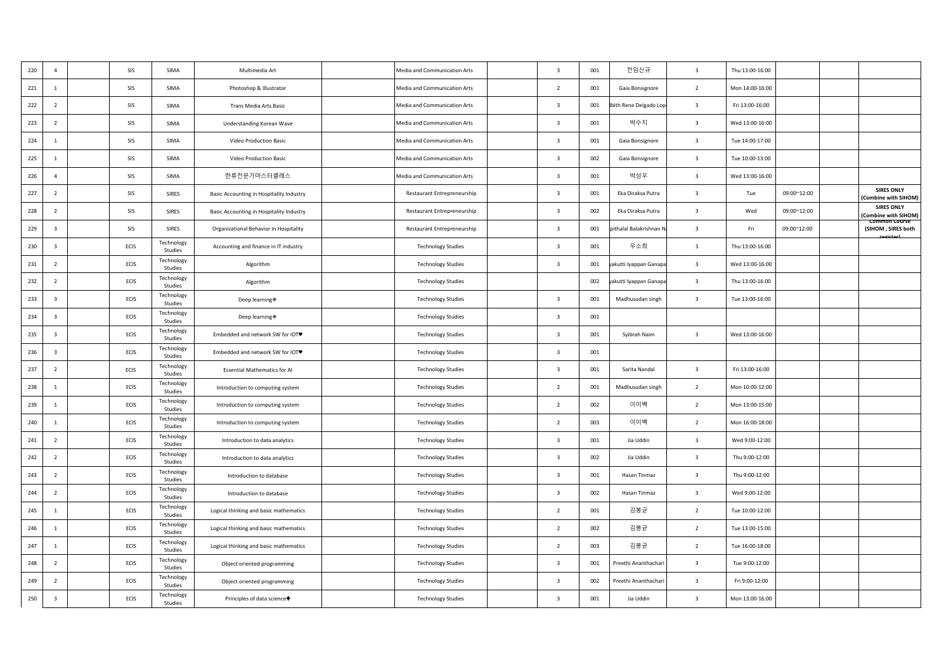| 220 | $\overline{4}$          | SIS  | SIMA                  | Multimedia Art                           | Media and Communication Arts | $\overline{\mathbf{3}}$ | 001 | 전임신규                   | $\overline{\mathbf{3}}$ | Thu 13:00-16:00 |             |                                           |
|-----|-------------------------|------|-----------------------|------------------------------------------|------------------------------|-------------------------|-----|------------------------|-------------------------|-----------------|-------------|-------------------------------------------|
| 221 | <sup>1</sup>            | SIS  | SIMA                  | Photoshop & Illustrator                  | Media and Communication Arts | $\overline{2}$          | 001 | Gaia Bonsignore        | $\overline{2}$          | Mon 14:00-16:00 |             |                                           |
| 222 | $\overline{2}$          | SIS  | SIMA                  | Trans Media Arts Basic                   | Media and Communication Arts | $\overline{\mathbf{3}}$ | 001 | oith Rene Delgado Lop  | $\overline{\mathbf{3}}$ | Fri 13:00-16:00 |             |                                           |
| 223 | $\overline{2}$          | SIS  | SIMA                  | Understanding Korean Wave                | Media and Communication Arts | $\overline{\mathbf{3}}$ | 001 | 박수지                    | $\overline{\mathbf{3}}$ | Wed 13:00-16:00 |             |                                           |
| 224 | $\mathbf{1}$            | SIS  | SIMA                  | Video Production Basic                   | Media and Communication Arts | $\overline{\mathbf{3}}$ | 001 | Gaia Bonsignore        | $\overline{\mathbf{3}}$ | Tue 14:00-17:00 |             |                                           |
| 225 | <sup>1</sup>            | SIS  | SIMA                  | Video Production Basic                   | Media and Communication Arts | $\overline{\mathbf{3}}$ | 002 | Gaia Bonsignore        | $\overline{\mathbf{3}}$ | Tue 10:00-13:00 |             |                                           |
| 226 | $\overline{4}$          | SIS  | SIMA                  | 한류전문가마스터클래스                              | Media and Communication Arts | $\overline{\mathbf{3}}$ | 001 | 박성우                    | $\overline{\mathbf{3}}$ | Wed 13:00-16:00 |             |                                           |
| 227 | $\overline{2}$          | SIS  | SIRES                 | Basic Accounting in Hospitality Industry | Restaurant Entrepreneurship  | $\overline{\mathbf{3}}$ | 001 | Eka Diraksa Putra      | $\overline{\mathbf{3}}$ | Tue             | 09:00~12:00 | <b>SIRES ONLY</b><br>(Combine with SIHOM) |
| 228 | $\overline{2}$          | SIS  | SIRES                 | Basic Accounting in Hospitality Industry | Restaurant Entrepreneurship  | $\overline{\mathbf{3}}$ | 002 | Eka Diraksa Putra      | $\overline{\mathbf{3}}$ | Wed             | 09:00~12:00 | <b>SIRES ONLY</b><br>(Combine with SIHOM) |
| 229 | $\overline{\mathbf{3}}$ | SIS  | SIRES                 | Organizational Behavior in Hospitality   | Restaurant Entrepreneurship  | $\overline{\mathbf{3}}$ | 001 | ithalal Balakrishnan I | $\overline{\mathbf{3}}$ | Fri             | 09:00~12:00 | Common Course<br>(SIHOM, SIRES both       |
| 230 | $\overline{\mathbf{3}}$ | ECIS | Technology<br>Studies | Accounting and finance in IT industry    | <b>Technology Studies</b>    | $\overline{\mathbf{3}}$ | 001 | 우소희                    | $\overline{\mathbf{3}}$ | Thu 13:00-16:00 |             |                                           |
| 231 | $\overline{2}$          | ECIS | Technology<br>Studies | Algorithm                                | <b>Technology Studies</b>    | $\overline{\mathbf{3}}$ | 001 | akutti Iyappan Ganapa  | $\overline{\mathbf{3}}$ | Wed 13:00-16:00 |             |                                           |
| 232 | $\overline{2}$          | ECIS | Technology<br>Studies | Algorithm                                | <b>Technology Studies</b>    |                         | 002 | akutti Iyappan Ganapa  | $\overline{\mathbf{3}}$ | Thu 13:00-16:00 |             |                                           |
| 233 | $\overline{\mathbf{3}}$ | ECIS | Technology<br>Studies | Deep learning *                          | <b>Technology Studies</b>    | $\overline{\mathbf{3}}$ | 001 | Madhusudan singh       | $\overline{\mathbf{3}}$ | Tue 13:00-16:00 |             |                                           |
| 234 | $\overline{\mathbf{3}}$ | ECIS | Technology<br>Studies | Deep learning                            | <b>Technology Studies</b>    | $\overline{\mathbf{3}}$ | 001 |                        |                         |                 |             |                                           |
| 235 | $\overline{\mathbf{3}}$ | ECIS | Technology<br>Studies | Embedded and network SW for IOT♥         | <b>Technology Studies</b>    | $\overline{\mathbf{3}}$ | 001 | Syibrah Naim           | $\overline{\mathbf{3}}$ | Wed 13:00-16:00 |             |                                           |
| 236 | $\overline{\mathbf{3}}$ | ECIS | Technology<br>Studies | Embedded and network SW for IOT♥         | <b>Technology Studies</b>    | $\overline{\mathbf{3}}$ | 001 |                        |                         |                 |             |                                           |
| 237 | $\overline{2}$          | ECIS | Technology<br>Studies | <b>Essential Mathematics for AI</b>      | <b>Technology Studies</b>    | $\overline{\mathbf{3}}$ | 001 | Sarita Nandal          | $\overline{\mathbf{3}}$ | Fri 13:00-16:00 |             |                                           |
| 238 | $\mathbf{1}$            | ECIS | Technology<br>Studies | Introduction to computing system         | <b>Technology Studies</b>    | $\overline{2}$          | 001 | Madhusudan singh       | $\overline{2}$          | Mon 10:00-12:00 |             |                                           |
| 239 | <sup>1</sup>            | ECIS | Technology<br>Studies | Introduction to computing system         | <b>Technology Studies</b>    | $\overline{2}$          | 002 | 이이백                    | $\overline{2}$          | Mon 13:00-15:00 |             |                                           |
| 240 | <sup>1</sup>            | ECIS | Technology<br>Studies | Introduction to computing system         | <b>Technology Studies</b>    | $\overline{2}$          | 003 | 이이백                    | $\overline{2}$          | Mon 16:00-18:00 |             |                                           |
| 241 | $\overline{2}$          | ECIS | Technology<br>Studies | Introduction to data analytics           | <b>Technology Studies</b>    | $\overline{\mathbf{3}}$ | 001 | Jia Uddin              | $\overline{\mathbf{3}}$ | Wed 9:00-12:00  |             |                                           |
| 242 | $\overline{2}$          | ECIS | Technology<br>Studies | Introduction to data analytics           | <b>Technology Studies</b>    | $\overline{\mathbf{3}}$ | 002 | Jia Uddin              | $\overline{\mathbf{3}}$ | Thu 9:00-12:00  |             |                                           |
| 243 | $\overline{2}$          | ECIS | Technology<br>Studies | Introduction to database                 | <b>Technology Studies</b>    | $\overline{\mathbf{3}}$ | 001 | Hasan Tinmaz           | $\overline{\mathbf{3}}$ | Thu 9:00-12:00  |             |                                           |
| 244 | $\overline{2}$          | ECIS | Technology<br>Studies | Introduction to database                 | <b>Technology Studies</b>    | $\overline{\mathbf{3}}$ | 002 | Hasan Tinmaz           | $\overline{\mathbf{3}}$ | Wed 9:00-12:00  |             |                                           |
| 245 | <sup>1</sup>            | ECIS | Technology<br>Studies | Logical thinking and basic mathematics   | <b>Technology Studies</b>    | $\overline{2}$          | 001 | 김봉균                    | $\overline{2}$          | Tue 10:00-12:00 |             |                                           |
| 246 | <sup>1</sup>            | ECIS | Technology<br>Studies | Logical thinking and basic mathematics   | <b>Technology Studies</b>    | $\overline{2}$          | 002 | 김봉균                    | $\overline{2}$          | Tue 13:00-15:00 |             |                                           |
| 247 | 1                       | ECIS | Technology<br>Studies | Logical thinking and basic mathematics   | <b>Technology Studies</b>    | $\overline{2}$          | 003 | 김봉균                    | $\overline{2}$          | Tue 16:00-18:00 |             |                                           |
| 248 | $\overline{2}$          | ECIS | Technology<br>Studies | Object oriented programming              | <b>Technology Studies</b>    | $\overline{\mathbf{3}}$ | 001 | Preethi Ananthachari   | $\overline{\mathbf{3}}$ | Tue 9:00-12:00  |             |                                           |
| 249 | $\overline{2}$          | ECIS | Technology<br>Studies | Object oriented programming              | <b>Technology Studies</b>    | $\overline{\mathbf{3}}$ | 002 | Preethi Ananthachar    | $\overline{\mathbf{3}}$ | Fri 9:00-12:00  |             |                                           |
| 250 | $\overline{\mathbf{3}}$ | ECIS | Technology<br>Studies | Principles of data science               | <b>Technology Studies</b>    | $\overline{\mathbf{3}}$ | 001 | Jia Uddin              | $\overline{3}$          | Mon 13:00-16:00 |             |                                           |